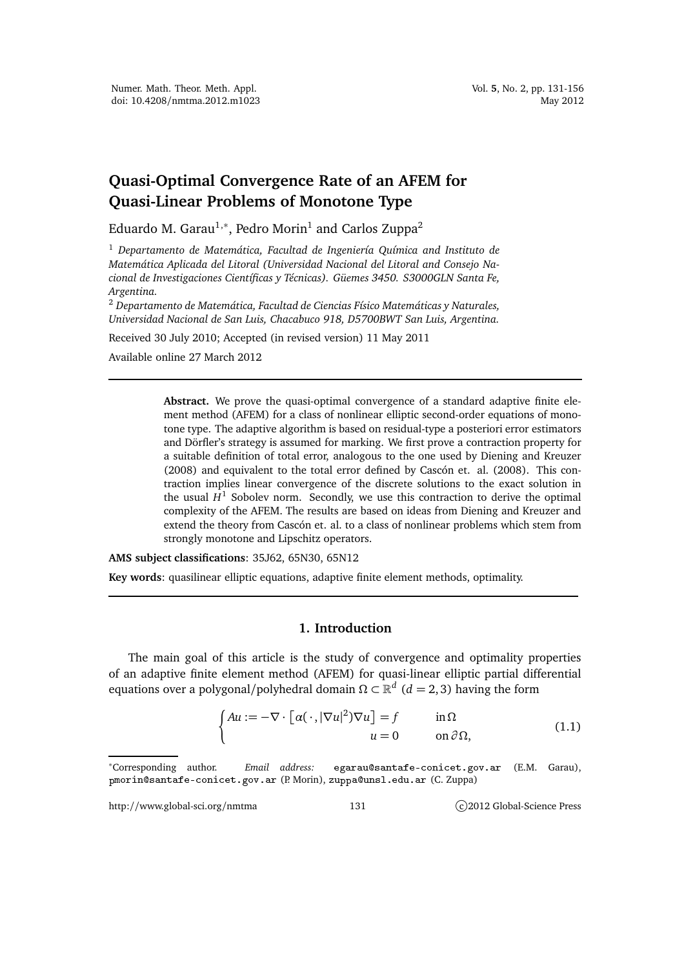# **Quasi-Optimal Convergence Rate of an AFEM for Quasi-Linear Problems of Monotone Type**

Eduardo M. Garau $^{1,\ast},$  Pedro Morin $^1$  and Carlos Zuppa $^2$ 

<sup>1</sup> *Departamento de Matemática, Facultad de Ingeniería Química and Instituto de Matemática Aplicada del Litoral (Universidad Nacional del Litoral and Consejo Nacional de Investigaciones Científicas y Técnicas). Güemes 3450. S3000GLN Santa Fe, Argentina.*

<sup>2</sup> *Departamento de Matemática, Facultad de Ciencias Físico Matemáticas y Naturales, Universidad Nacional de San Luis, Chacabuco 918, D5700BWT San Luis, Argentina.*

Received 30 July 2010; Accepted (in revised version) 11 May 2011

Available online 27 March 2012

**Abstract.** We prove the quasi-optimal convergence of a standard adaptive finite element method (AFEM) for a class of nonlinear elliptic second-order equations of monotone type. The adaptive algorithm is based on residual-type a posteriori error estimators and Dörfler's strategy is assumed for marking. We first prove a contraction property for a suitable definition of total error, analogous to the one used by Diening and Kreuzer (2008) and equivalent to the total error defined by Cascón et. al. (2008). This contraction implies linear convergence of the discrete solutions to the exact solution in the usual  $H^1$  Sobolev norm. Secondly, we use this contraction to derive the optimal complexity of the AFEM. The results are based on ideas from Diening and Kreuzer and extend the theory from Cascón et. al. to a class of nonlinear problems which stem from strongly monotone and Lipschitz operators.

**AMS subject classifications**: 35J62, 65N30, 65N12

**Key words**: quasilinear elliptic equations, adaptive finite element methods, optimality.

## **1. Introduction**

The main goal of this article is the study of convergence and optimality properties of an adaptive finite element method (AFEM) for quasi-linear elliptic partial differential equations over a polygonal/polyhedral domain Ω ⊂  $\mathbb{R}^d$  (*d* = 2, 3) having the form

$$
\begin{cases}\nAu := -\nabla \cdot \left[ \alpha(\cdot, |\nabla u|^2) \nabla u \right] = f & \text{in } \Omega \\
u = 0 & \text{on } \partial \Omega,\n\end{cases}
$$
\n(1.1)

http://www.global-sci.org/nmtma 131 c)2012 Global-Science Press

<sup>∗</sup>Corresponding author. *Email address:* egarausantafeoni
et.gov.ar (E.M. Garau), pmorin@santafe-conicet.gov.ar (P. Morin), zuppa@unsl.edu.ar (C. Zuppa)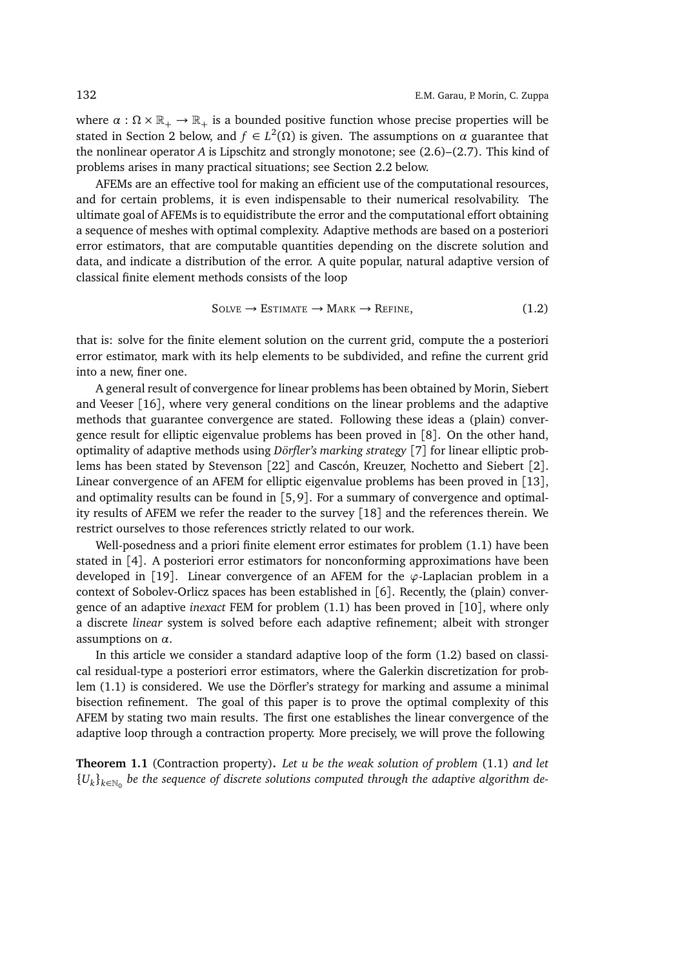where  $\alpha : \Omega \times \mathbb{R}_+ \to \mathbb{R}_+$  is a bounded positive function whose precise properties will be stated in Section 2 below, and  $f \in L^2(\Omega)$  is given. The assumptions on  $\alpha$  guarantee that the nonlinear operator *A* is Lipschitz and strongly monotone; see (2.6)–(2.7). This kind of problems arises in many practical situations; see Section 2.2 below.

AFEMs are an effective tool for making an efficient use of the computational resources, and for certain problems, it is even indispensable to their numerical resolvability. The ultimate goal of AFEMs is to equidistribute the error and the computational effort obtaining a sequence of meshes with optimal complexity. Adaptive methods are based on a posteriori error estimators, that are computable quantities depending on the discrete solution and data, and indicate a distribution of the error. A quite popular, natural adaptive version of classical finite element methods consists of the loop

$$
Solve \rightarrow ESTMATE \rightarrow MARK \rightarrow REFINE,
$$
 (1.2)

that is: solve for the finite element solution on the current grid, compute the a posteriori error estimator, mark with its help elements to be subdivided, and refine the current grid into a new, finer one.

A general result of convergence for linear problems has been obtained by Morin, Siebert and Veeser [16], where very general conditions on the linear problems and the adaptive methods that guarantee convergence are stated. Following these ideas a (plain) convergence result for elliptic eigenvalue problems has been proved in [8]. On the other hand, optimality of adaptive methods using *Dörfler's marking strategy* [7] for linear elliptic problems has been stated by Stevenson [22] and Cascón, Kreuzer, Nochetto and Siebert [2]. Linear convergence of an AFEM for elliptic eigenvalue problems has been proved in [13], and optimality results can be found in [5, 9]. For a summary of convergence and optimality results of AFEM we refer the reader to the survey [18] and the references therein. We restrict ourselves to those references strictly related to our work.

Well-posedness and a priori finite element error estimates for problem (1.1) have been stated in [4]. A posteriori error estimators for nonconforming approximations have been developed in [19]. Linear convergence of an AFEM for the *ϕ*-Laplacian problem in a context of Sobolev-Orlicz spaces has been established in [6]. Recently, the (plain) convergence of an adaptive *inexact* FEM for problem (1.1) has been proved in [10], where only a discrete *linear* system is solved before each adaptive refinement; albeit with stronger assumptions on *α*.

In this article we consider a standard adaptive loop of the form (1.2) based on classical residual-type a posteriori error estimators, where the Galerkin discretization for problem (1.1) is considered. We use the Dörfler's strategy for marking and assume a minimal bisection refinement. The goal of this paper is to prove the optimal complexity of this AFEM by stating two main results. The first one establishes the linear convergence of the adaptive loop through a contraction property. More precisely, we will prove the following

**Theorem 1.1** (Contraction property)**.** *Let u be the weak solution of problem* (1.1) *and let*  $\{U_k\}_{k\in\mathbb{N}_0}$  be the sequence of discrete solutions computed through the adaptive algorithm de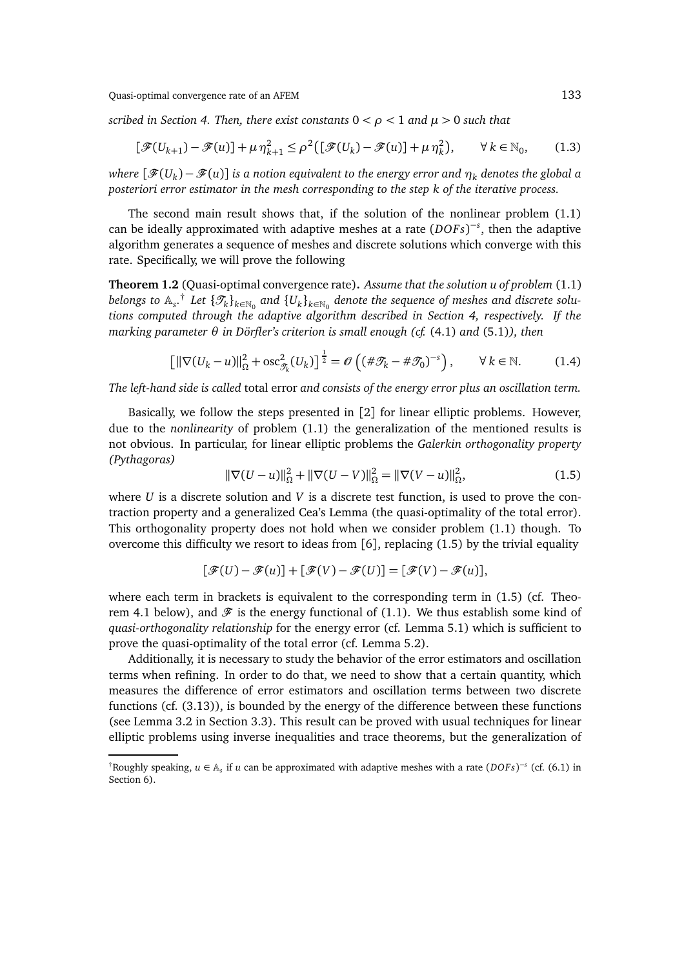*scribed in Section 4. Then, there exist constants* 0 *< ρ <* 1 *and µ >* 0 *such that*

$$
[\mathcal{F}(U_{k+1}) - \mathcal{F}(u)] + \mu \eta_{k+1}^2 \le \rho^2 ([\mathcal{F}(U_k) - \mathcal{F}(u)] + \mu \eta_k^2), \qquad \forall k \in \mathbb{N}_0, \qquad (1.3)
$$

*where* [F(*U<sup>k</sup>* )− F(*u*)] *is a notion equivalent to the energy error and η<sup>k</sup> denotes the global a posteriori error estimator in the mesh corresponding to the step k of the iterative process.*

The second main result shows that, if the solution of the nonlinear problem (1.1) can be ideally approximated with adaptive meshes at a rate (*DOF s*) −*s* , then the adaptive algorithm generates a sequence of meshes and discrete solutions which converge with this rate. Specifically, we will prove the following

**Theorem 1.2** (Quasi-optimal convergence rate)**.** *Assume that the solution u of problem* (1.1)  $b$ elongs to  $\mathbb{A}_s$ . $^\dagger$  Let  $\{\mathscr{T}_k\}_{k\in\mathbb{N}_0}$  and  $\{U_k\}_{k\in\mathbb{N}_0}$  denote the sequence of meshes and discrete solu*tions computed through the adaptive algorithm described in Section 4, respectively. If the marking parameter θ in Dörfler's criterion is small enough (cf.* (4.1) *and* (5.1)*), then*

$$
\left[\|\nabla(U_k - u)\|_{\Omega}^2 + \mathrm{osc}_{\mathcal{I}_k}^2(U_k)\right]^{\frac{1}{2}} = \mathcal{O}\left((\#\mathcal{I}_k - \#\mathcal{I}_0)^{-s}\right), \qquad \forall \, k \in \mathbb{N}.\tag{1.4}
$$

*The left-hand side is called* total error *and consists of the energy error plus an oscillation term.*

Basically, we follow the steps presented in [2] for linear elliptic problems. However, due to the *nonlinearity* of problem (1.1) the generalization of the mentioned results is not obvious. In particular, for linear elliptic problems the *Galerkin orthogonality property (Pythagoras)*

$$
\|\nabla(U-u)\|_{\Omega}^2 + \|\nabla(U-V)\|_{\Omega}^2 = \|\nabla(V-u)\|_{\Omega}^2,
$$
\n(1.5)

where *U* is a discrete solution and *V* is a discrete test function, is used to prove the contraction property and a generalized Cea's Lemma (the quasi-optimality of the total error). This orthogonality property does not hold when we consider problem (1.1) though. To overcome this difficulty we resort to ideas from  $\lceil 6 \rceil$ , replacing (1.5) by the trivial equality

$$
[\mathcal{F}(U) - \mathcal{F}(u)] + [\mathcal{F}(V) - \mathcal{F}(U)] = [\mathcal{F}(V) - \mathcal{F}(u)],
$$

where each term in brackets is equivalent to the corresponding term in  $(1.5)$  (cf. Theorem 4.1 below), and  $\mathcal F$  is the energy functional of (1.1). We thus establish some kind of *quasi-orthogonality relationship* for the energy error (cf. Lemma 5.1) which is sufficient to prove the quasi-optimality of the total error (cf. Lemma 5.2).

Additionally, it is necessary to study the behavior of the error estimators and oscillation terms when refining. In order to do that, we need to show that a certain quantity, which measures the difference of error estimators and oscillation terms between two discrete functions (cf. (3.13)), is bounded by the energy of the difference between these functions (see Lemma 3.2 in Section 3.3). This result can be proved with usual techniques for linear elliptic problems using inverse inequalities and trace theorems, but the generalization of

<sup>†</sup>Roughly speaking, *u* ∈ A*<sup>s</sup>* if *u* can be approximated with adaptive meshes with a rate (*DOF s*) −*s* (cf. (6.1) in Section 6).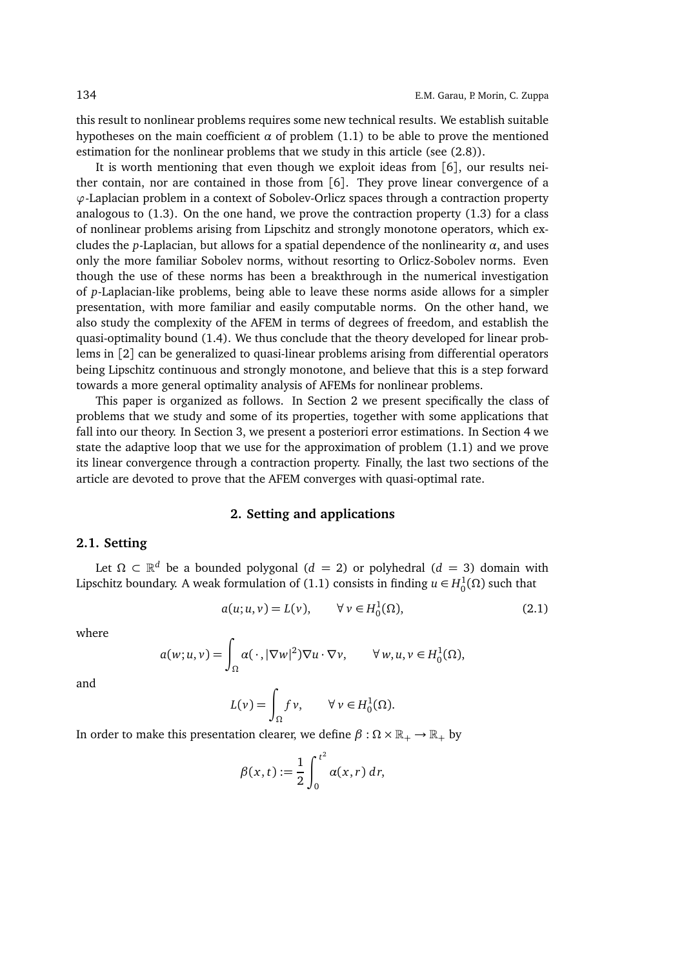this result to nonlinear problems requires some new technical results. We establish suitable hypotheses on the main coefficient  $\alpha$  of problem (1.1) to be able to prove the mentioned estimation for the nonlinear problems that we study in this article (see (2.8)).

It is worth mentioning that even though we exploit ideas from [6], our results neither contain, nor are contained in those from [6]. They prove linear convergence of a *ϕ*-Laplacian problem in a context of Sobolev-Orlicz spaces through a contraction property analogous to (1.3). On the one hand, we prove the contraction property (1.3) for a class of nonlinear problems arising from Lipschitz and strongly monotone operators, which excludes the *p*-Laplacian, but allows for a spatial dependence of the nonlinearity *α*, and uses only the more familiar Sobolev norms, without resorting to Orlicz-Sobolev norms. Even though the use of these norms has been a breakthrough in the numerical investigation of *p*-Laplacian-like problems, being able to leave these norms aside allows for a simpler presentation, with more familiar and easily computable norms. On the other hand, we also study the complexity of the AFEM in terms of degrees of freedom, and establish the quasi-optimality bound (1.4). We thus conclude that the theory developed for linear problems in [2] can be generalized to quasi-linear problems arising from differential operators being Lipschitz continuous and strongly monotone, and believe that this is a step forward towards a more general optimality analysis of AFEMs for nonlinear problems.

This paper is organized as follows. In Section 2 we present specifically the class of problems that we study and some of its properties, together with some applications that fall into our theory. In Section 3, we present a posteriori error estimations. In Section 4 we state the adaptive loop that we use for the approximation of problem (1.1) and we prove its linear convergence through a contraction property. Finally, the last two sections of the article are devoted to prove that the AFEM converges with quasi-optimal rate.

## **2. Setting and applications**

## **2.1. Setting**

Let  $\Omega \subset \mathbb{R}^d$  be a bounded polygonal ( $d = 2$ ) or polyhedral ( $d = 3$ ) domain with Lipschitz boundary. A weak formulation of (1.1) consists in finding  $u \in H_0^1(\Omega)$  such that

$$
a(u;u,v) = L(v), \qquad \forall v \in H_0^1(\Omega), \tag{2.1}
$$

where

$$
a(w; u, v) = \int_{\Omega} a(\,\cdot\,, |\nabla w|^2) \nabla u \cdot \nabla v, \qquad \forall w, u, v \in H_0^1(\Omega),
$$

and

$$
L(\nu) = \int_{\Omega} f \nu, \qquad \forall \nu \in H_0^1(\Omega).
$$

In order to make this presentation clearer, we define  $\beta : \Omega \times \mathbb{R}_+ \rightarrow \mathbb{R}_+$  by

$$
\beta(x,t) := \frac{1}{2} \int_0^{t^2} \alpha(x,r) \, dr,
$$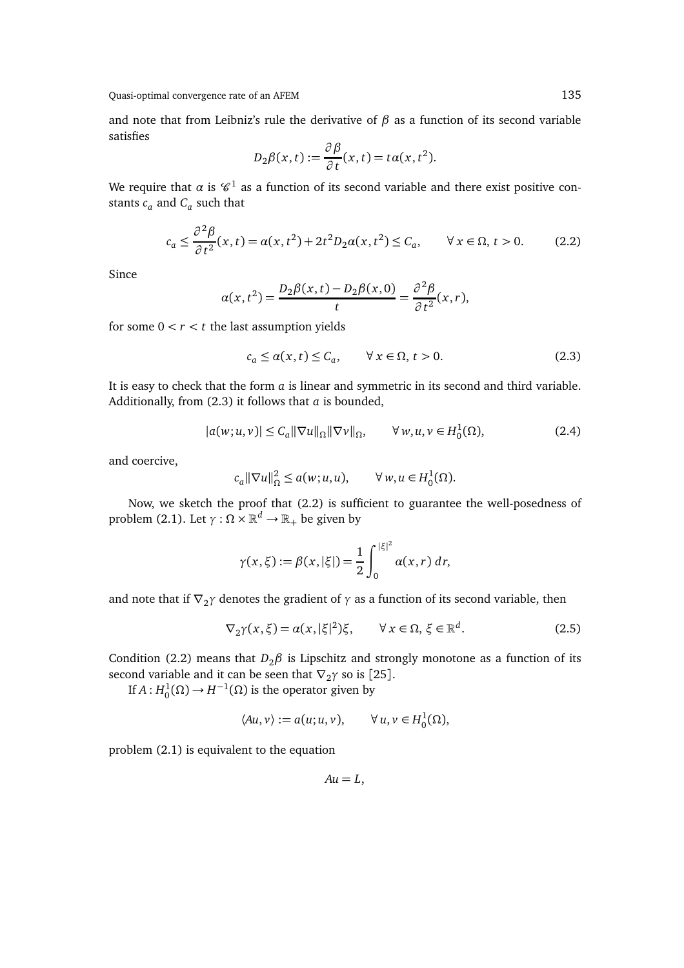and note that from Leibniz's rule the derivative of  $\beta$  as a function of its second variable satisfies

$$
D_2\beta(x,t):=\frac{\partial \beta}{\partial t}(x,t)=t\alpha(x,t^2).
$$

We require that  $\alpha$  is  $\mathscr C^1$  as a function of its second variable and there exist positive constants  $c_a$  and  $C_a$  such that

$$
c_a \le \frac{\partial^2 \beta}{\partial t^2}(x, t) = \alpha(x, t^2) + 2t^2 D_2 \alpha(x, t^2) \le C_a, \qquad \forall x \in \Omega, t > 0.
$$
 (2.2)

Since

$$
\alpha(x,t^2) = \frac{D_2\beta(x,t) - D_2\beta(x,0)}{t} = \frac{\partial^2\beta}{\partial t^2}(x,r),
$$

for some  $0 < r < t$  the last assumption yields

$$
c_a \le \alpha(x, t) \le C_a, \qquad \forall x \in \Omega, t > 0. \tag{2.3}
$$

It is easy to check that the form *a* is linear and symmetric in its second and third variable. Additionally, from (2.3) it follows that *a* is bounded,

$$
|a(w;u,v)| \le C_a ||\nabla u||_{\Omega} ||\nabla v||_{\Omega}, \qquad \forall w, u, v \in H_0^1(\Omega), \tag{2.4}
$$

and coercive,

$$
c_a \|\nabla u\|_{\Omega}^2 \le a(w; u, u), \qquad \forall w, u \in H_0^1(\Omega).
$$

Now, we sketch the proof that (2.2) is sufficient to guarantee the well-posedness of problem (2.1). Let  $γ:Ω×ℝ<sup>d</sup> → ℝ<sub>+</sub>$  be given by

$$
\gamma(x,\xi) := \beta(x,|\xi|) = \frac{1}{2} \int_0^{|\xi|^2} \alpha(x,r) \, dr,
$$

and note that if  $\nabla_2 \gamma$  denotes the gradient of  $\gamma$  as a function of its second variable, then

$$
\nabla_2 \gamma(x,\xi) = \alpha(x,|\xi|^2)\xi, \qquad \forall \, x \in \Omega, \, \xi \in \mathbb{R}^d. \tag{2.5}
$$

Condition (2.2) means that  $D_2\beta$  is Lipschitz and strongly monotone as a function of its second variable and it can be seen that  $\nabla_2 \gamma$  so is [25].

If  $A: H_0^1(\Omega) \to H^{-1}(\Omega)$  is the operator given by

$$
\langle Au, v \rangle := a(u; u, v), \qquad \forall u, v \in H_0^1(\Omega),
$$

problem (2.1) is equivalent to the equation

 $Au = L$ ,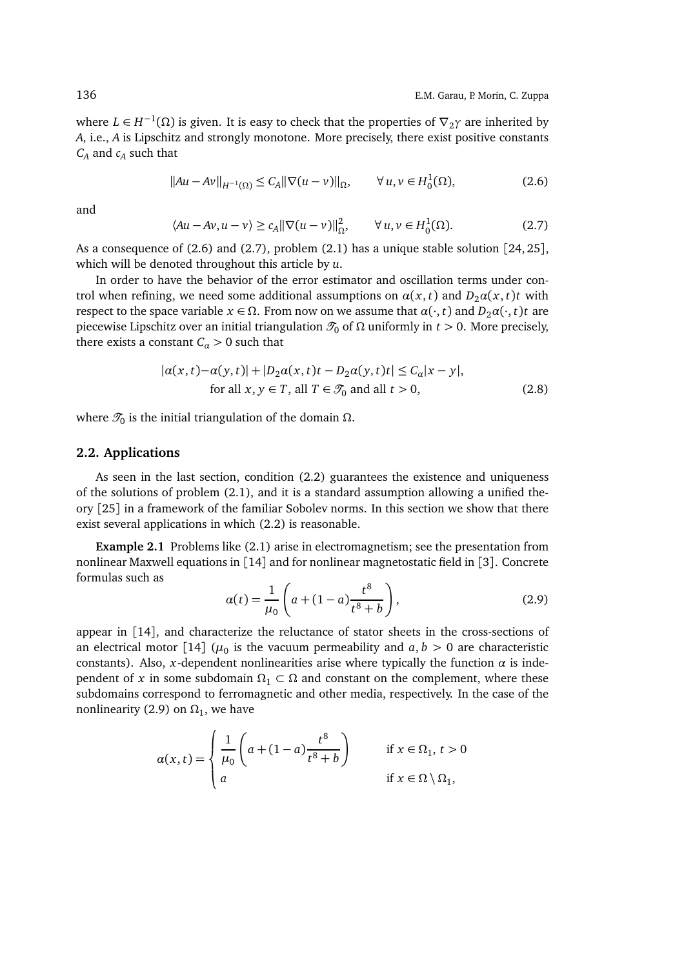where  $L \in H^{-1}(\Omega)$  is given. It is easy to check that the properties of  $\nabla_2 \gamma$  are inherited by *A*, i.e., *A* is Lipschitz and strongly monotone. More precisely, there exist positive constants *C<sup>A</sup>* and *c<sup>A</sup>* such that

$$
||Au - Av||_{H^{-1}(\Omega)} \le C_A ||\nabla (u - v)||_{\Omega}, \qquad \forall u, v \in H_0^1(\Omega),
$$
 (2.6)

and

$$
\langle Au - Av, u - v \rangle \ge c_A ||\nabla (u - v)||_{\Omega}^2, \qquad \forall u, v \in H_0^1(\Omega). \tag{2.7}
$$

As a consequence of  $(2.6)$  and  $(2.7)$ , problem  $(2.1)$  has a unique stable solution  $[24, 25]$ , which will be denoted throughout this article by *u*.

In order to have the behavior of the error estimator and oscillation terms under control when refining, we need some additional assumptions on  $\alpha(x, t)$  and  $D_2\alpha(x, t)$ *t* with respect to the space variable  $x \in \Omega$ . From now on we assume that  $\alpha(\cdot, t)$  and  $D_2\alpha(\cdot, t)t$  are piecewise Lipschitz over an initial triangulation  $\mathcal{T}_0$  of Ω uniformly in *t* > 0. More precisely, there exists a constant  $C_{\alpha} > 0$  such that

$$
|\alpha(x,t) - \alpha(y,t)| + |D_2 \alpha(x,t)t - D_2 \alpha(y,t)t| \le C_\alpha |x-y|,
$$
  
for all  $x, y \in T$ , all  $T \in \mathcal{T}_0$  and all  $t > 0$ , (2.8)

where  $\mathscr{T}_0$  is the initial triangulation of the domain  $\Omega.$ 

## **2.2. Applications**

As seen in the last section, condition (2.2) guarantees the existence and uniqueness of the solutions of problem (2.1), and it is a standard assumption allowing a unified theory [25] in a framework of the familiar Sobolev norms. In this section we show that there exist several applications in which (2.2) is reasonable.

**Example 2.1** Problems like (2.1) arise in electromagnetism; see the presentation from nonlinear Maxwell equations in [14] and for nonlinear magnetostatic field in [3]. Concrete formulas such as

$$
\alpha(t) = \frac{1}{\mu_0} \left( a + (1 - a) \frac{t^8}{t^8 + b} \right),\tag{2.9}
$$

appear in [14], and characterize the reluctance of stator sheets in the cross-sections of an electrical motor [14] ( $\mu_0$  is the vacuum permeability and  $a, b > 0$  are characteristic constants). Also, *x*-dependent nonlinearities arise where typically the function  $\alpha$  is independent of *x* in some subdomain  $\Omega_1 \subset \Omega$  and constant on the complement, where these subdomains correspond to ferromagnetic and other media, respectively. In the case of the nonlinearity (2.9) on  $\Omega_1$ , we have

$$
\alpha(x,t) = \begin{cases} \frac{1}{\mu_0} \left( a + (1-a)\frac{t^8}{t^8 + b} \right) & \text{if } x \in \Omega_1, \, t > 0 \\ a & \text{if } x \in \Omega \setminus \Omega_1, \end{cases}
$$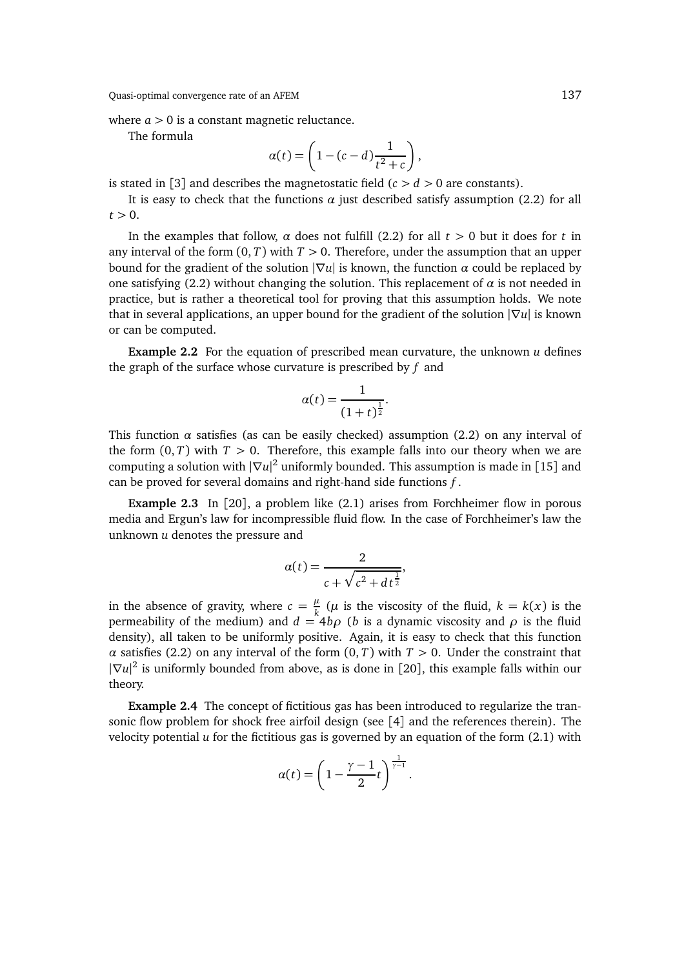where  $a > 0$  is a constant magnetic reluctance.

The formula

$$
\alpha(t) = \left(1 - (c - d)\frac{1}{t^2 + c}\right),\,
$$

is stated in [3] and describes the magnetostatic field  $(c > d > 0$  are constants).

It is easy to check that the functions  $\alpha$  just described satisfy assumption (2.2) for all  $t > 0$ .

In the examples that follow,  $\alpha$  does not fulfill (2.2) for all  $t > 0$  but it does for  $t$  in any interval of the form  $(0, T)$  with  $T > 0$ . Therefore, under the assumption that an upper bound for the gradient of the solution  $|\nabla u|$  is known, the function *α* could be replaced by one satisfying (2.2) without changing the solution. This replacement of  $\alpha$  is not needed in practice, but is rather a theoretical tool for proving that this assumption holds. We note that in several applications, an upper bound for the gradient of the solution |∇*u*| is known or can be computed.

**Example 2.2** For the equation of prescribed mean curvature, the unknown *u* defines the graph of the surface whose curvature is prescribed by *f* and

$$
\alpha(t) = \frac{1}{(1+t)^{\frac{1}{2}}}.
$$

This function  $\alpha$  satisfies (as can be easily checked) assumption (2.2) on any interval of the form  $(0, T)$  with  $T > 0$ . Therefore, this example falls into our theory when we are computing a solution with |∇*u*| <sup>2</sup> uniformly bounded. This assumption is made in [15] and can be proved for several domains and right-hand side functions *f* .

**Example 2.3** In [20], a problem like (2.1) arises from Forchheimer flow in porous media and Ergun's law for incompressible fluid flow. In the case of Forchheimer's law the unknown *u* denotes the pressure and

$$
\alpha(t) = \frac{2}{c + \sqrt{c^2 + dt^{\frac{1}{2}}}},
$$

in the absence of gravity, where  $c = \frac{\mu}{k}$  $\frac{\mu}{k}$  ( $\mu$  is the viscosity of the fluid,  $k = k(x)$  is the permeability of the medium) and  $d = 4b\rho$  (*b* is a dynamic viscosity and  $\rho$  is the fluid density), all taken to be uniformly positive. Again, it is easy to check that this function *α* satisfies (2.2) on any interval of the form  $(0, T)$  with  $T > 0$ . Under the constraint that |∇*u*| 2 is uniformly bounded from above, as is done in [20], this example falls within our theory.

**Example 2.4** The concept of fictitious gas has been introduced to regularize the transonic flow problem for shock free airfoil design (see [4] and the references therein). The velocity potential  $u$  for the fictitious gas is governed by an equation of the form  $(2.1)$  with

$$
\alpha(t) = \left(1 - \frac{\gamma - 1}{2}t\right)^{\frac{1}{\gamma - 1}}.
$$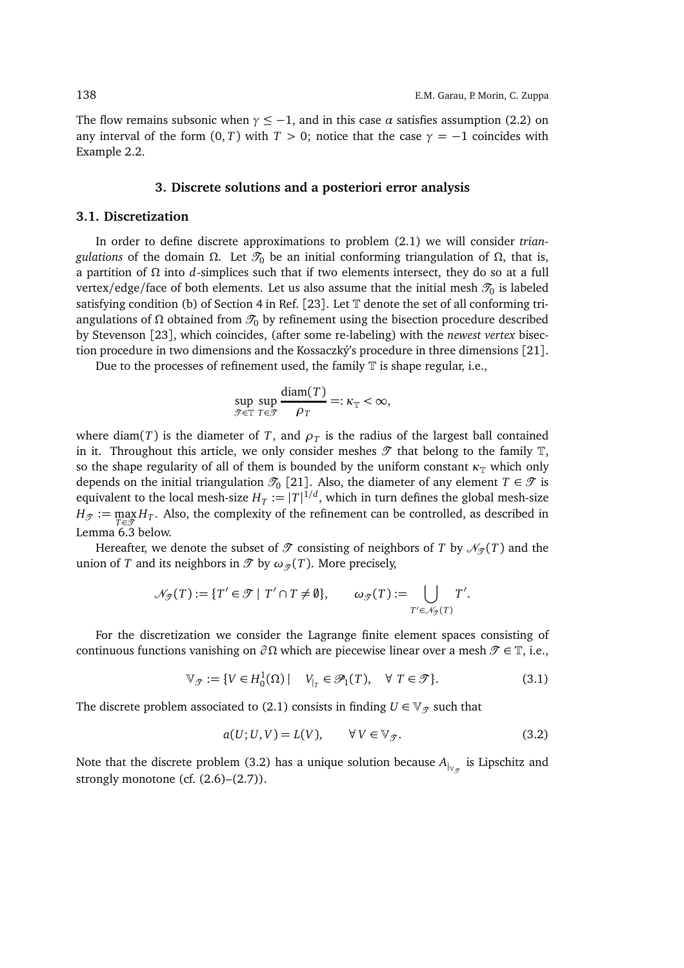The flow remains subsonic when  $\gamma \leq -1$ , and in this case  $\alpha$  satisfies assumption (2.2) on any interval of the form  $(0, T)$  with  $T > 0$ ; notice that the case  $\gamma = -1$  coincides with Example 2.2.

#### **3. Discrete solutions and a posteriori error analysis**

#### **3.1. Discretization**

In order to define discrete approximations to problem (2.1) we will consider *triangulations* of the domain  $\Omega$ . Let  $\mathcal{T}_0$  be an initial conforming triangulation of  $\Omega$ , that is, a partition of Ω into *d*-simplices such that if two elements intersect, they do so at a full vertex/edge/face of both elements. Let us also assume that the initial mesh  $\mathscr{T}_0$  is labeled satisfying condition (b) of Section 4 in Ref. [23]. Let T denote the set of all conforming triangulations of Ω obtained from  $\mathcal{T}_0$  by refinement using the bisection procedure described by Stevenson [23], which coincides, (after some re-labeling) with the *newest vertex* bisection procedure in two dimensions and the Kossaczký's procedure in three dimensions [21].

Due to the processes of refinement used, the family  $\mathbb T$  is shape regular, i.e.,

$$
\sup_{\mathcal{T}\in\mathbb{T}}\sup_{T\in\mathcal{T}}\frac{\text{diam}(T)}{\rho_T}=:\kappa_{\mathbb{T}}<\infty,
$$

where diam(*T*) is the diameter of *T*, and  $\rho_T$  is the radius of the largest ball contained in it. Throughout this article, we only consider meshes  $\mathcal T$  that belong to the family  $\mathbb T$ , so the shape regularity of all of them is bounded by the uniform constant  $\kappa_{\mathbb{T}}$  which only depends on the initial triangulation  $\mathcal{T}_0$  [21]. Also, the diameter of any element  $T \in \mathcal{T}$  is equivalent to the local mesh-size  $H_T := |T|^{1/d}$ , which in turn defines the global mesh-size  $H_{\mathcal{T}} := \max_{T \in \mathcal{T}} H_T$ . Also, the complexity of the refinement can be controlled, as described in Lemma 6.3 below.

Hereafter, we denote the subset of  $\mathcal T$  consisting of neighbors of *T* by  $\mathcal N_{\mathcal T}(T)$  and the union of *T* and its neighbors in  $\mathcal{T}$  by  $\omega_{\mathcal{T}}(T)$ . More precisely,

$$
\mathcal{N}_{\mathcal{F}}(T) := \{ T' \in \mathcal{F} \mid T' \cap T \neq \emptyset \}, \qquad \omega_{\mathcal{F}}(T) := \bigcup_{T' \in \mathcal{N}_{\mathcal{F}}(T)} T'.
$$

For the discretization we consider the Lagrange finite element spaces consisting of continuous functions vanishing on  $\partial \Omega$  which are piecewise linear over a mesh  $\mathcal{T} \in \mathbb{T}$ , i.e.,

$$
\mathbb{V}_{\mathcal{T}} := \{ V \in H_0^1(\Omega) \mid V_{|_T} \in \mathcal{P}_1(T), \quad \forall \ T \in \mathcal{T} \}. \tag{3.1}
$$

The discrete problem associated to (2.1) consists in finding  $U \in V_{\mathcal{T}}$  such that

$$
a(U;U,V) = L(V), \qquad \forall V \in \mathbb{V}_{\mathcal{T}}.\tag{3.2}
$$

Note that the discrete problem (3.2) has a unique solution because  $A_{|_{\mathbb{V}_{\mathscr{T}}}}$  is Lipschitz and strongly monotone (cf.  $(2.6)$ – $(2.7)$ ).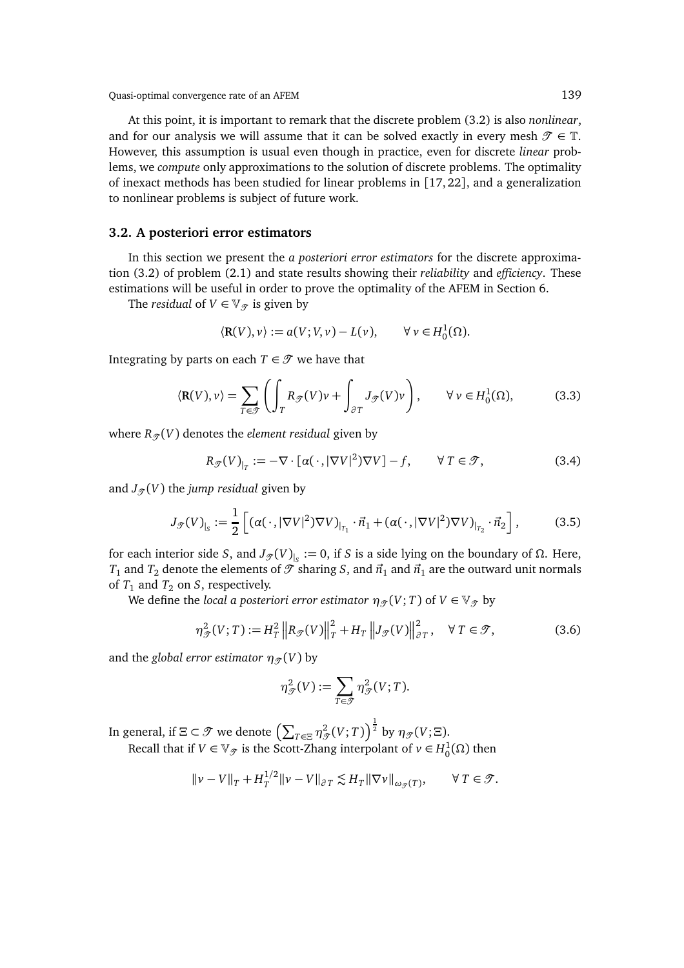At this point, it is important to remark that the discrete problem (3.2) is also *nonlinear*, and for our analysis we will assume that it can be solved exactly in every mesh  $\mathcal{T} \in \mathbb{T}$ . However, this assumption is usual even though in practice, even for discrete *linear* problems, we *compute* only approximations to the solution of discrete problems. The optimality of inexact methods has been studied for linear problems in [17, 22], and a generalization to nonlinear problems is subject of future work.

## **3.2. A posteriori error estimators**

In this section we present the *a posteriori error estimators* for the discrete approximation (3.2) of problem (2.1) and state results showing their *reliability* and *efficiency*. These estimations will be useful in order to prove the optimality of the AFEM in Section 6.

The *residual* of  $V \in V_{\mathcal{T}}$  is given by

$$
\langle \mathbf{R}(V), v \rangle := a(V; V, v) - L(v), \qquad \forall v \in H_0^1(\Omega).
$$

Integrating by parts on each  $T \in \mathcal{T}$  we have that

$$
\langle \mathbf{R}(V), v \rangle = \sum_{T \in \mathcal{F}} \left( \int_T R_{\mathcal{F}}(V) v + \int_{\partial T} J_{\mathcal{F}}(V) v \right), \qquad \forall v \in H_0^1(\Omega), \tag{3.3}
$$

where  $R_{\mathcal{T}}(V)$  denotes the *element residual* given by

$$
R_{\mathcal{T}}(V)_{|_{T}} := -\nabla \cdot [\alpha(\cdot, |\nabla V|^{2})\nabla V] - f, \qquad \forall T \in \mathcal{T}, \tag{3.4}
$$

and  $J_{\mathcal{T}}(V)$  the *jump residual* given by

$$
J_{\mathcal{F}}(V)_{|_{S}} := \frac{1}{2} \left[ \left( \alpha(\cdot, |\nabla V|^2) \nabla V \right)_{|_{T_1}} \cdot \vec{n}_1 + \left( \alpha(\cdot, |\nabla V|^2) \nabla V \right)_{|_{T_2}} \cdot \vec{n}_2 \right],\tag{3.5}
$$

for each interior side *S*, and  $J_{\mathcal{T}}(V)_{|_S} := 0$ , if *S* is a side lying on the boundary of Ω. Here, *T*<sub>1</sub> and *T*<sub>2</sub> denote the elements of  $\mathscr{T}$  sharing *S*, and  $\vec{n}_1$  and  $\vec{n}_1$  are the outward unit normals of  $T_1$  and  $T_2$  on *S*, respectively.

We define the *local a posteriori error estimator*  $\eta_{\mathcal{T}}(V; T)$  of  $V \in V_{\mathcal{T}}$  by

$$
\eta_{\mathcal{T}}^2(V;T) := H_T^2 \left\| R_{\mathcal{T}}(V) \right\|_T^2 + H_T \left\| J_{\mathcal{T}}(V) \right\|_{\partial T}^2, \quad \forall \ T \in \mathcal{T},\tag{3.6}
$$

and the *global error estimator*  $\eta_{\mathcal{T}}(V)$  by

$$
\eta_{\mathcal{J}}^2(V):=\sum_{T\in\mathcal{T}}\eta_{\mathcal{T}}^2(V;T).
$$

In general, if  $\Xi\subset\mathscr{T}$  we denote  $\left(\sum_{T\in\Xi}\eta_{\mathscr{T}}^2(V;T)\right)^{\frac{1}{2}}$  by  $\eta_{\mathscr{T}}(V;\Xi).$ Recall that if  $V \in \mathbb{V}_{\mathscr{T}}$  is the Scott-Zhang interpolant of  $v \in H_0^1(\Omega)$  then

$$
\|\nu - V\|_T + H_T^{1/2} \|\nu - V\|_{\partial T} \lesssim H_T \|\nabla \nu\|_{\omega_{\mathcal{F}}(T)}, \qquad \forall \ T \in \mathcal{T}.
$$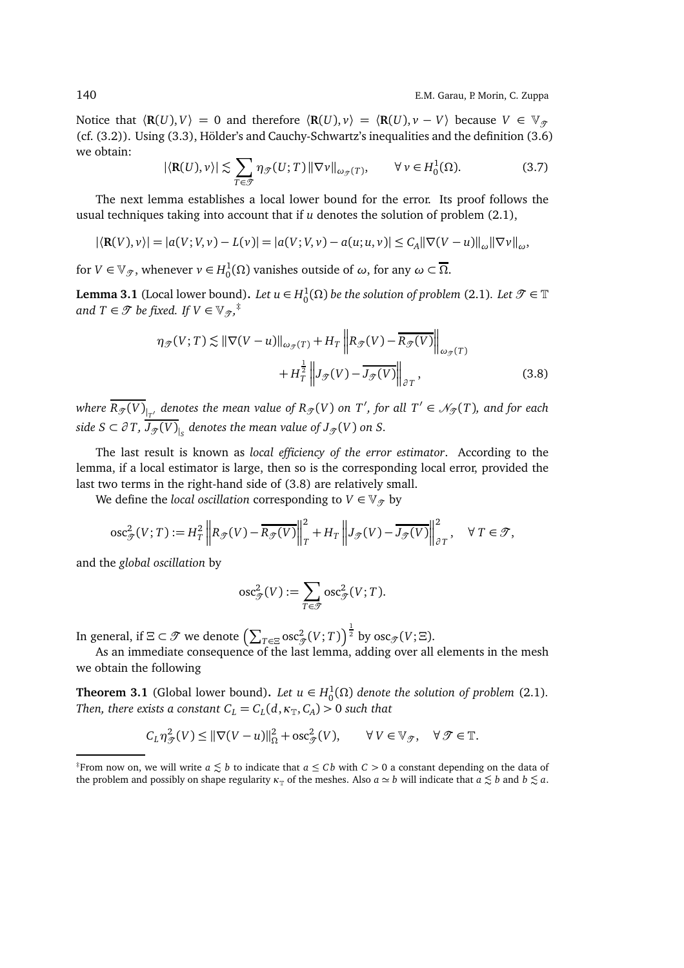Notice that  $\langle \mathbf{R}(U), V \rangle = 0$  and therefore  $\langle \mathbf{R}(U), v \rangle = \langle \mathbf{R}(U), v - V \rangle$  because  $V \in \mathbb{V}_{\varphi}$ (cf. (3.2)). Using (3.3), Hölder's and Cauchy-Schwartz's inequalities and the definition (3.6) we obtain:

$$
|\langle \mathbf{R}(U), \nu \rangle| \lesssim \sum_{T \in \mathcal{T}} \eta_{\mathcal{T}}(U; T) \|\nabla \nu\|_{\omega_{\mathcal{T}}(T)}, \qquad \forall \nu \in H_0^1(\Omega). \tag{3.7}
$$

The next lemma establishes a local lower bound for the error. Its proof follows the usual techniques taking into account that if *u* denotes the solution of problem (2.1),

$$
|\langle \mathbf{R}(V), v \rangle| = |a(V; V, v) - L(v)| = |a(V; V, v) - a(u; u, v)| \le C_A ||\nabla (V - u)||_{\omega} ||\nabla v||_{\omega},
$$

for  $V \in \mathbb{V}_{\mathcal{T}}$ , whenever  $v \in H_0^1(\Omega)$  vanishes outside of  $\omega$ , for any  $\omega \subset \overline{\Omega}$ .

**Lemma 3.1** (Local lower bound). Let  $u \in H_0^1(\Omega)$  be the solution of problem (2.1). Let  $\mathcal{T} \in \mathbb{T}$ and  $T \in \mathcal{T}$  be fixed. If  $V \in \mathbb{V}_{\mathcal{T}}$ ,<sup>‡</sup>

$$
\eta_{\mathcal{F}}(V;T) \lesssim \|\nabla(V-u)\|_{\omega_{\mathcal{F}}(T)} + H_T \left\| R_{\mathcal{F}}(V) - \overline{R_{\mathcal{F}}(V)} \right\|_{\omega_{\mathcal{F}}(T)} + H_T^{\frac{1}{2}} \left\| J_{\mathcal{F}}(V) - \overline{J_{\mathcal{F}}(V)} \right\|_{\partial T},
$$
\n(3.8)

 $\overline{R_\mathcal{T}(V)}_{|_{T'}}$  denotes the mean value of  $R_\mathcal{T}(V)$  on  $T'$ , for all  $T'\in\mathcal{N}_\mathcal{T}(T)$ , and for each  $s$ ide  $S \subset \partial T$ ,  $J_{\mathscr{T}}(V)_{|_S}$  denotes the mean value of  $J_{\mathscr{T}}(V)$  on  $S.$ 

The last result is known as *local efficiency of the error estimator*. According to the lemma, if a local estimator is large, then so is the corresponding local error, provided the last two terms in the right-hand side of (3.8) are relatively small.

We define the *local oscillation* corresponding to  $V \in V_{\mathcal{T}}$  by

$$
\operatorname{osc}_{\mathscr{T}}^2(V;T) := H_T^2 \left\| R_{\mathscr{T}}(V) - \overline{R_{\mathscr{T}}(V)} \right\|_T^2 + H_T \left\| J_{\mathscr{T}}(V) - \overline{J_{\mathscr{T}}(V)} \right\|_{\partial T}^2, \quad \forall \ T \in \mathscr{T},
$$

and the *global oscillation* by

$$
\mathrm{osc}_{\mathcal{F}}^2(V) := \sum_{T \in \mathcal{F}} \mathrm{osc}_{\mathcal{F}}^2(V;T).
$$

In general, if  $\Xi\subset\mathscr{T}$  we denote  $\left(\sum_{T\in\Xi}\operatorname*{osc}_{\mathscr{T}}^2(V;T)\right)^{\frac{1}{2}}$  by  $\operatorname*{osc}_{\mathscr{T}}(V;\Xi).$ 

As an immediate consequence of the last lemma, adding over all elements in the mesh we obtain the following

**Theorem 3.1** (Global lower bound). Let  $u \in H_0^1(\Omega)$  denote the solution of problem (2.1). *Then, there exists a constant*  $C_L = C_L(d, \kappa_{\mathbb{T}}, C_A) > 0$  *such that* 

$$
C_L \eta_{\mathcal{J}}^2(V) \le ||\nabla (V - u)||_{\Omega}^2 + \csc^2_{\mathcal{J}}(V), \qquad \forall V \in \mathbb{V}_{\mathcal{J}}, \quad \forall \mathcal{J} \in \mathbb{T}.
$$

<sup>&</sup>lt;sup>‡</sup>From now on, we will write  $a \leq b$  to indicate that  $a \leq c b$  with  $c > 0$  a constant depending on the data of the problem and possibly on shape regularity  $\kappa_{\rm T}$  of the meshes. Also  $a \simeq b$  will indicate that  $a \lesssim b$  and  $b \lesssim a$ .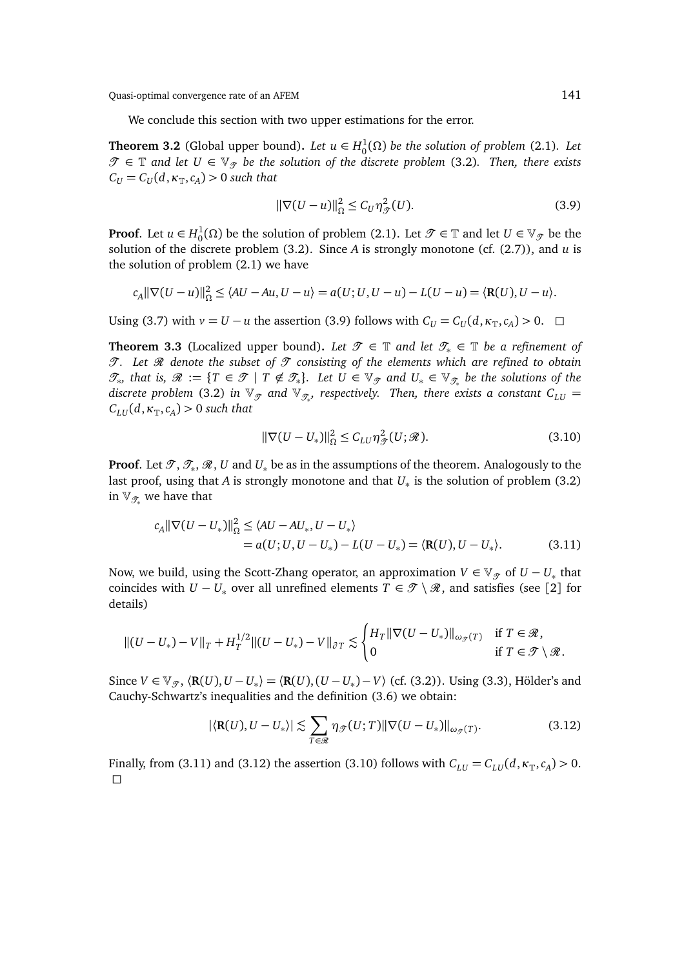We conclude this section with two upper estimations for the error.

**Theorem 3.2** (Global upper bound). Let  $u \in H_0^1(\Omega)$  be the solution of problem (2.1). Let  $\mathcal{T}$  ∈ T and let  $U$  ∈  $\mathbb{V}_{\mathcal{T}}$  be the solution of the discrete problem (3.2). Then, there exists  $C_U = C_U(d, \kappa_{\mathbb{T}}, c_A) > 0$  such that

$$
\|\nabla(U-u)\|_{\Omega}^2 \le C_U \eta_{\mathcal{T}}^2(U). \tag{3.9}
$$

**Proof**. Let  $u \in H_0^1(\Omega)$  be the solution of problem (2.1). Let  $\mathcal{T} \in \mathbb{T}$  and let  $U \in \mathbb{V}_{\mathcal{T}}$  be the solution of the discrete problem (3.2). Since *A* is strongly monotone (cf. (2.7)), and *u* is the solution of problem (2.1) we have

$$
c_A \|\nabla(U-u)\|_{\Omega}^2 \le \langle AU-Au, U-u \rangle = a(U;U, U-u) - L(U-u) = \langle \mathbf{R}(U), U-u \rangle.
$$

Using (3.7) with  $v = U - u$  the assertion (3.9) follows with  $C_U = C_U(d, \kappa_T, c_A) > 0$ .  $\Box$ 

**Theorem 3.3** (Localized upper bound). Let  $\mathcal{T} \in \mathbb{T}$  and let  $\mathcal{T}_* \in \mathbb{T}$  be a refinement of T. Let  $\mathcal R$  denote the subset of  $\mathcal T$  consisting of the elements which are refined to obtain  $\mathscr{T}_{*}$ , that is,  $\mathscr{R} := \{T \in \mathscr{T} \mid T \notin \mathscr{T}_{*}\}.$  Let  $U \in \mathbb{V}_{\mathscr{T}}$  and  $U_{*} \in \mathbb{V}_{\mathscr{T}_{*}}$  be the solutions of the  $d$ iscrete problem (3.2) in  $\mathbb{V}_\mathscr{T}$  and  $\mathbb{V}_{\mathscr{T}_*}$ , respectively. Then, there exists a constant  $C_{LU} =$  $C_{LU}(d, \kappa_{\mathbb{T}}, c_A) > 0$  *such that* 

$$
\|\nabla(U - U_*)\|_{\Omega}^2 \le C_{LU} \eta_{\mathcal{F}}^2(U; \mathcal{R}).
$$
\n(3.10)

**Proof**. Let  $\mathscr{T}, \mathscr{T}_*, \mathscr{R}, U$  and  $U_*$  be as in the assumptions of the theorem. Analogously to the last proof, using that *A* is strongly monotone and that *U*<sup>∗</sup> is the solution of problem (3.2) in  $\mathbb{V}_{\mathscr{T}_*}$  we have that

$$
c_A ||\nabla (U - U_*)||^2_{\Omega} \le \langle AU - AU_*, U - U_* \rangle
$$
  
=  $a(U; U, U - U_*) - L(U - U_*) = \langle \mathbf{R}(U), U - U_* \rangle.$  (3.11)

Now, we build, using the Scott-Zhang operator, an approximation  $V\in \mathbb{V}_{\mathscr{T}}$  of  $U-U_*$  that coincides with *U* − *U*<sub>∗</sub> over all unrefined elements  $T \in \mathcal{T} \setminus \mathcal{R}$ , and satisfies (see [2] for details)

$$
||(U - U_*) - V||_T + H_T^{1/2}||(U - U_*) - V||_{\partial T} \lesssim \begin{cases} H_T ||\nabla (U - U_*)||_{\omega_{\mathcal{F}}(T)} & \text{if } T \in \mathcal{R}, \\ 0 & \text{if } T \in \mathcal{T} \setminus \mathcal{R}. \end{cases}
$$

Since  $V \in \mathbb{V}_{\mathcal{T}}$ ,  $\langle \mathbf{R}(U), U - U_* \rangle = \langle \mathbf{R}(U), (U - U_*) - V \rangle$  (cf. (3.2)). Using (3.3), Hölder's and Cauchy-Schwartz's inequalities and the definition (3.6) we obtain:

$$
|\langle \mathbf{R}(U), U - U_* \rangle| \lesssim \sum_{T \in \mathcal{R}} \eta_{\mathcal{T}}(U; T) \|\nabla (U - U_*)\|_{\omega_{\mathcal{T}}(T)}.
$$
\n(3.12)

Finally, from (3.11) and (3.12) the assertion (3.10) follows with  $C_{LU} = C_{LU}(d, \kappa_{\mathbb{T}}, c_A) > 0$ .  $\Box$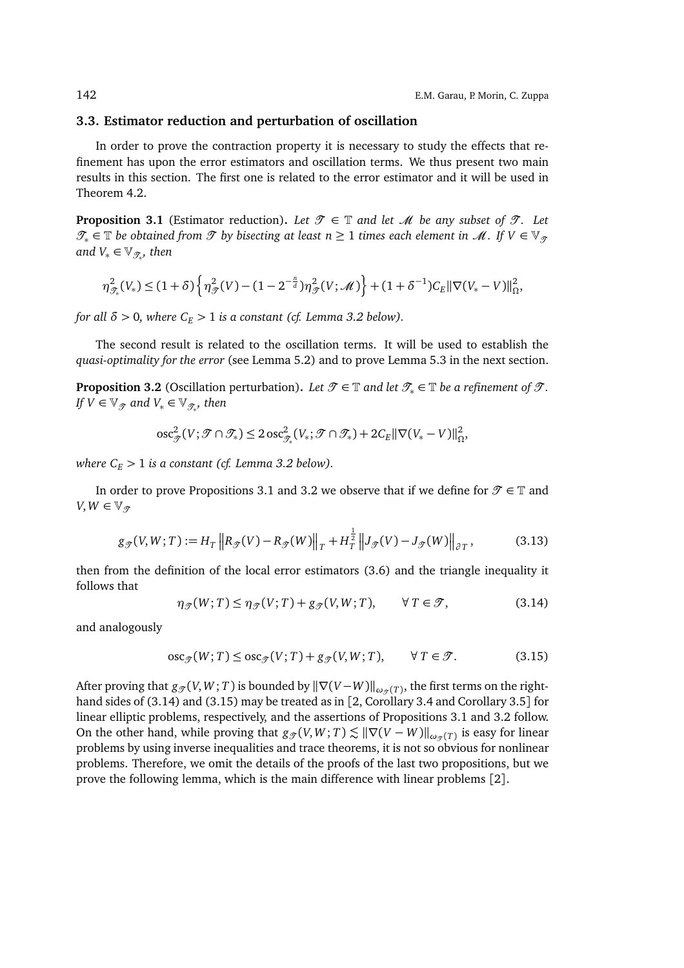#### **3.3. Estimator reduction and perturbation of oscillation**

In order to prove the contraction property it is necessary to study the effects that refinement has upon the error estimators and oscillation terms. We thus present two main results in this section. The first one is related to the error estimator and it will be used in Theorem 4.2.

**Proposition 3.1** (Estimator reduction). Let  $\mathcal{T} \in \mathbb{T}$  and let  $\mathcal{M}$  be any subset of  $\mathcal{T}$ . Let  $\mathcal{T}_* \in \mathbb{T}$  *be obtained from*  $\mathcal{T}$  *by bisecting at least n* ≥ 1 *times each element in*  $\mathcal{M}$ *. If*  $V \in \mathbb{V}_{\mathcal{T}}$ and  $V_* \in \mathbb{V}_{\mathscr{T}_{*}}$ , then

$$
\eta_{\mathcal{J}_*}^2(V_*) \leq (1+\delta) \left\{ \eta_{\mathcal{J}}^2(V) - (1 - 2^{-\frac{n}{d}}) \eta_{\mathcal{J}}^2(V; \mathcal{M}) \right\} + (1+\delta^{-1}) C_E ||\nabla (V_* - V)||_{\Omega}^2,
$$

*for all*  $\delta$  > 0*, where*  $C_E$  > 1 *is a constant* (*cf. Lemma 3.2 below*).

The second result is related to the oscillation terms. It will be used to establish the *quasi-optimality for the error* (see Lemma 5.2) and to prove Lemma 5.3 in the next section.

**Proposition 3.2** (Oscillation perturbation). Let  $\mathcal{T} \in \mathbb{T}$  and let  $\mathcal{T}_* \in \mathbb{T}$  be a refinement of  $\mathcal{T}$ . *If*  $V \in \mathbb{V}_{\mathscr{T}}$  and  $V_* \in \mathbb{V}_{\mathscr{T}_{*}}$ , then

$$
\mathrm{osc}_{\mathcal{F}}^2(V; \mathcal{F} \cap \mathcal{T}_*) \leq 2 \, \mathrm{osc}_{\mathcal{F}_*}^2(V_*; \mathcal{F} \cap \mathcal{T}_*) + 2C_E ||\nabla (V_* - V)||_{\Omega}^2,
$$

*where*  $C_E > 1$  *is a constant (cf. Lemma 3.2 below).* 

In order to prove Propositions 3.1 and 3.2 we observe that if we define for  $\mathcal{T} \in \mathbb{T}$  and  $V, W \in \mathbb{V}_q$ 

$$
g_{\mathcal{F}}(V,W;T) := H_T \left\| R_{\mathcal{F}}(V) - R_{\mathcal{F}}(W) \right\|_T + H_T^{\frac{1}{2}} \left\| J_{\mathcal{F}}(V) - J_{\mathcal{F}}(W) \right\|_{\partial T},\tag{3.13}
$$

then from the definition of the local error estimators (3.6) and the triangle inequality it follows that

$$
\eta_{\mathcal{F}}(W;T) \le \eta_{\mathcal{F}}(V;T) + g_{\mathcal{F}}(V,W;T), \qquad \forall T \in \mathcal{F}, \tag{3.14}
$$

and analogously

$$
\operatorname{osc}_{\mathcal{F}}(W;T) \le \operatorname{osc}_{\mathcal{F}}(V;T) + g_{\mathcal{F}}(V,W;T), \qquad \forall T \in \mathcal{T}.
$$
 (3.15)

After proving that  $g_{\mathscr{T}}(V,W;T)$  is bounded by  $\|\nabla(V-W)\|_{\omega_{\mathscr{T}}(T)}$ , the first terms on the righthand sides of (3.14) and (3.15) may be treated as in [2, Corollary 3.4 and Corollary 3.5] for linear elliptic problems, respectively, and the assertions of Propositions 3.1 and 3.2 follow. On the other hand, while proving that  $g_{\mathcal{T}}(V,W;T) \lesssim ||\nabla(V-W)||_{\omega_{\mathcal{T}}(T)}$  is easy for linear problems by using inverse inequalities and trace theorems, it is not so obvious for nonlinear problems. Therefore, we omit the details of the proofs of the last two propositions, but we prove the following lemma, which is the main difference with linear problems [2].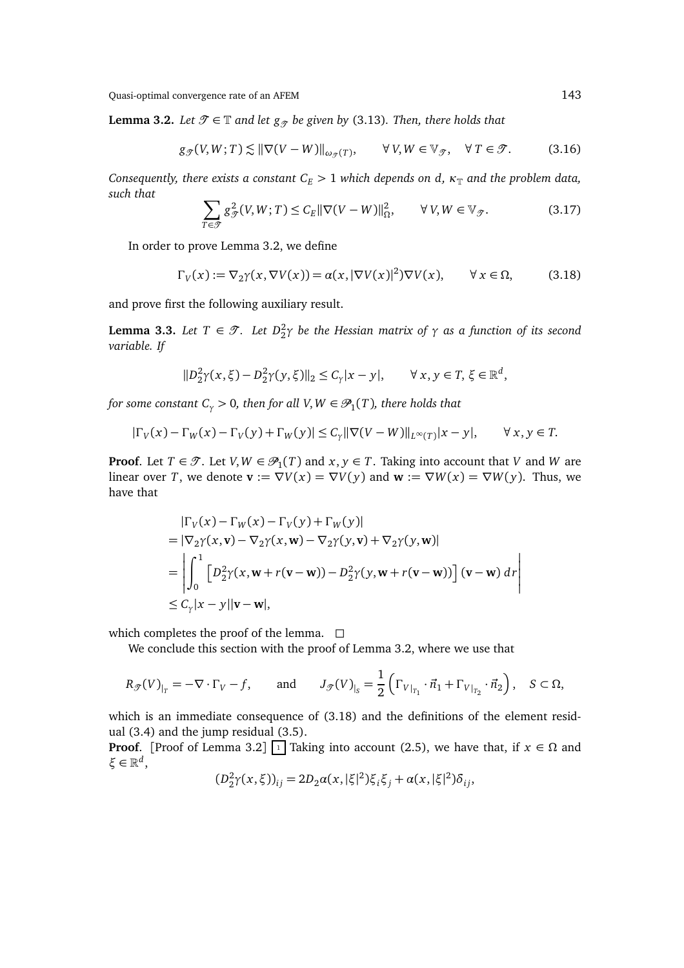**Lemma 3.2.** *Let*  $\mathcal{T} \in \mathbb{T}$  *and let*  $g_{\mathcal{T}}$  *be given by* (3.13)*. Then, there holds that* 

$$
g_{\mathcal{F}}(V, W; T) \lesssim \|\nabla (V - W)\|_{\omega_{\mathcal{F}}(T)}, \qquad \forall \, V, W \in \mathbb{V}_{\mathcal{F}}, \quad \forall \, T \in \mathcal{F}.
$$

*Consequently, there exists a constant*  $C_E$  > 1 *which depends on d,*  $\kappa_{\mathbb{T}}$  *and the problem data, such that*

$$
\sum_{T \in \mathcal{T}} g_{\mathcal{T}}^2(V, W; T) \le C_E ||\nabla (V - W)||_{\Omega}^2, \qquad \forall V, W \in \mathbb{V}_{\mathcal{T}}.
$$
 (3.17)

In order to prove Lemma 3.2, we define

$$
\Gamma_V(x) := \nabla_2 \gamma(x, \nabla V(x)) = \alpha(x, |\nabla V(x)|^2) \nabla V(x), \qquad \forall \, x \in \Omega,
$$
 (3.18)

and prove first the following auxiliary result.

**Lemma 3.3.** Let  $T \in \mathcal{T}$ . Let  $D_2^2 \gamma$  be the Hessian matrix of  $\gamma$  as a function of its second *variable. If*

$$
||D_2^2 \gamma(x,\xi) - D_2^2 \gamma(y,\xi)||_2 \le C_\gamma |x - y|, \qquad \forall \, x, y \in T, \, \xi \in \mathbb{R}^d,
$$

for some constant  $C_\gamma > 0$ , then for all V,  $W \in \mathscr{P}_1(T)$ , there holds that

$$
|\Gamma_V(x) - \Gamma_W(x) - \Gamma_V(y) + \Gamma_W(y)| \le C_\gamma ||\nabla(V - W)||_{L^\infty(T)} |x - y|, \qquad \forall \, x, y \in T.
$$

**Proof**. Let  $T \in \mathcal{T}$ . Let  $V, W \in \mathcal{P}_1(T)$  and  $x, y \in T$ . Taking into account that  $V$  and  $W$  are linear over *T*, we denote  $\mathbf{v} := \nabla V(x) = \nabla V(y)$  and  $\mathbf{w} := \nabla W(x) = \nabla W(y)$ . Thus, we have that

$$
\begin{aligned}\n|\Gamma_V(x) - \Gamma_W(x) - \Gamma_V(y) + \Gamma_W(y)| \\
&= |\nabla_2 \gamma(x, \mathbf{v}) - \nabla_2 \gamma(x, \mathbf{w}) - \nabla_2 \gamma(y, \mathbf{v}) + \nabla_2 \gamma(y, \mathbf{w})| \\
&= \left| \int_0^1 \left[ D_2^2 \gamma(x, \mathbf{w} + r(\mathbf{v} - \mathbf{w})) - D_2^2 \gamma(y, \mathbf{w} + r(\mathbf{v} - \mathbf{w})) \right] (\mathbf{v} - \mathbf{w}) \, d\mathbf{r} \right| \\
&\leq C_\gamma |x - y| |\mathbf{v} - \mathbf{w}|,\n\end{aligned}
$$

which completes the proof of the lemma.  $\square$ 

We conclude this section with the proof of Lemma 3.2, where we use that

$$
R_{\mathcal{J}}(V)_{|_{T}} = -\nabla \cdot \Gamma_{V} - f, \quad \text{and} \quad J_{\mathcal{J}}(V)_{|_{S}} = \frac{1}{2} \left( \Gamma_{V|_{T_{1}}} \cdot \vec{n}_{1} + \Gamma_{V|_{T_{2}}} \cdot \vec{n}_{2} \right), \quad S \subset \Omega,
$$

which is an immediate consequence of (3.18) and the definitions of the element residual (3.4) and the jump residual (3.5).

**Proof.** [Proof of Lemma 3.2]  $\boxed{1}$  Taking into account (2.5), we have that, if  $x \in \Omega$  and *ξ* ∈ R *d* ,

$$
(D_2^2 \gamma(x,\xi))_{ij} = 2D_2 \alpha(x,|\xi|^2) \xi_i \xi_j + \alpha(x,|\xi|^2) \delta_{ij},
$$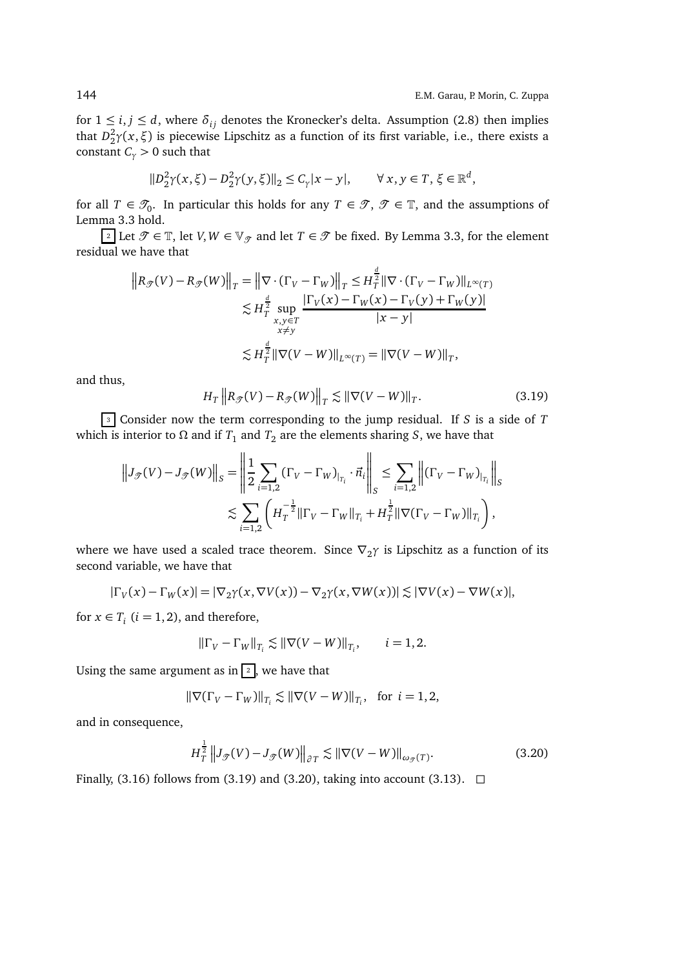for  $1 \le i, j \le d$ , where  $\delta_{ij}$  denotes the Kronecker's delta. Assumption (2.8) then implies that  $D_2^2\gamma(x,\xi)$  is piecewise Lipschitz as a function of its first variable, i.e., there exists a constant  $C_\gamma > 0$  such that

$$
||D_2^2 \gamma(x,\xi) - D_2^2 \gamma(y,\xi)||_2 \le C_\gamma |x - y|, \qquad \forall \, x, y \in T, \, \xi \in \mathbb{R}^d,
$$

for all  $T \in \mathcal{T}_0$ . In particular this holds for any  $T \in \mathcal{T}, \mathcal{T} \in \mathbb{T}$ , and the assumptions of Lemma 3.3 hold.

2 Let  $\mathcal{T}$  ∈ T, let *V*, *W* ∈  $\mathbb{V}_{\mathcal{T}}$  and let *T* ∈  $\mathcal{T}$  be fixed. By Lemma 3.3, for the element residual we have that

$$
||R_{\mathcal{F}}(V) - R_{\mathcal{F}}(W)||_T = ||\nabla \cdot (\Gamma_V - \Gamma_W)||_T \le H_T^{\frac{d}{2}} ||\nabla \cdot (\Gamma_V - \Gamma_W)||_{L^{\infty}(T)}
$$
  

$$
\lesssim H_T^{\frac{d}{2}} \sup_{\substack{x,y \in T \\ x \ne y}} \frac{|\Gamma_V(x) - \Gamma_W(x) - \Gamma_V(y) + \Gamma_W(y)|}{|x - y|}
$$
  

$$
\lesssim H_T^{\frac{d}{2}} ||\nabla(V - W)||_{L^{\infty}(T)} = ||\nabla(V - W)||_T,
$$

and thus,

$$
H_T \|R_{\mathcal{T}}(V) - R_{\mathcal{T}}(W)\|_T \lesssim \|\nabla (V - W)\|_T. \tag{3.19}
$$

<sup>3</sup> Consider now the term corresponding to the jump residual. If *S* is a side of *T* which is interior to  $\Omega$  and if  $T_1$  and  $T_2$  are the elements sharing *S*, we have that

$$
||J_{\mathcal{T}}(V) - J_{\mathcal{T}}(W)||_{S} = \left\| \frac{1}{2} \sum_{i=1,2} (\Gamma_{V} - \Gamma_{W})_{|_{T_{i}}} \cdot \vec{n}_{i} \right\|_{S} \le \sum_{i=1,2} ||(\Gamma_{V} - \Gamma_{W})_{|_{T_{i}}}||_{S}
$$
  

$$
\lesssim \sum_{i=1,2} \left( H_{T}^{-\frac{1}{2}} || \Gamma_{V} - \Gamma_{W} ||_{T_{i}} + H_{T}^{\frac{1}{2}} || \nabla (\Gamma_{V} - \Gamma_{W}) ||_{T_{i}} \right),
$$

where we have used a scaled trace theorem. Since  $\nabla_2\gamma$  is Lipschitz as a function of its second variable, we have that

$$
|\Gamma_V(x) - \Gamma_W(x)| = |\nabla_2 \gamma(x, \nabla V(x)) - \nabla_2 \gamma(x, \nabla W(x))| \lesssim |\nabla V(x) - \nabla W(x)|,
$$

for  $x \in T_i$  ( $i = 1, 2$ ), and therefore,

$$
\|\Gamma_V - \Gamma_W\|_{T_i} \lesssim \|\nabla(V - W)\|_{T_i}, \qquad i = 1, 2.
$$

Using the same argument as in  $\boxed{2}$ , we have that

$$
\|\nabla(\Gamma_V - \Gamma_W)\|_{T_i} \lesssim \|\nabla(V - W)\|_{T_i}, \text{ for } i = 1, 2,
$$

and in consequence,

$$
H_T^{\frac{1}{2}} \|J_{\mathcal{T}}(V) - J_{\mathcal{T}}(W)\|_{\partial T} \lesssim \|\nabla (V - W)\|_{\omega_{\mathcal{T}}(T)}.
$$
 (3.20)

Finally, (3.16) follows from (3.19) and (3.20), taking into account (3.13).  $\Box$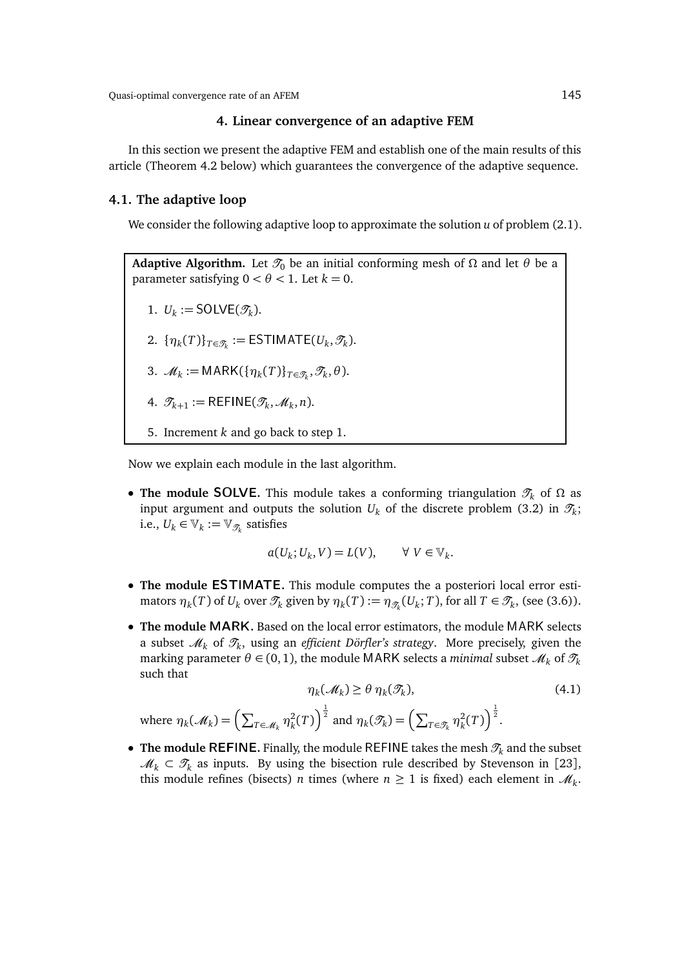## **4. Linear convergence of an adaptive FEM**

In this section we present the adaptive FEM and establish one of the main results of this article (Theorem 4.2 below) which guarantees the convergence of the adaptive sequence.

#### **4.1. The adaptive loop**

We consider the following adaptive loop to approximate the solution *u* of problem (2.1).

**Adaptive Algorithm.** Let  $\mathcal{T}_0$  be an initial conforming mesh of  $\Omega$  and let  $\theta$  be a parameter satisfying  $0 < \theta < 1$ . Let  $k = 0$ . 1.  $U_k := \text{SOLVE}(\mathcal{T}_k)$ . 2.  $\{\eta_k(T)\}_{T \in \mathcal{T}_k} := \textsf{ESTIMATE}(U_k, \mathcal{T}_k).$ 3.  $\mathcal{M}_k := \text{MARK}(\{\eta_k(T)\}_{T \in \mathcal{T}_k}, \mathcal{T}_k, \theta).$ 4.  $\mathcal{T}_{k+1} := \mathsf{REFINE}(\mathcal{T}_k, \mathcal{M}_k, n).$ 5. Increment *k* and go back to step 1.

Now we explain each module in the last algorithm.

where  $\eta_k(\mathscr{M}_k) = \Bigl( \sum_{T \in \mathscr{M}_k}$ 

• **The module SOLVE.** This module takes a conforming triangulation  $\mathcal{T}_k$  of  $\Omega$  as input argument and outputs the solution  $U_k$  of the discrete problem (3.2) in  $\mathscr{T}_k;$ i.e.,  $U_k \in \mathbb{V}_k := \mathbb{V}_{\mathscr{T}_k}$  satisfies

$$
a(U_k; U_k, V) = L(V), \qquad \forall \ V \in \mathbb{V}_k.
$$

- **The module** ESTIMATE**.** This module computes the a posteriori local error estimators  $\eta_k(T)$  of  $U_k$  over  $\mathcal{T}_k$  given by  $\eta_k(T) := \eta_{\mathcal{T}_k}(U_k; T)$ , for all  $T \in \mathcal{T}_k$ , (see (3.6)).
- **The module** MARK**.** Based on the local error estimators, the module MARK selects a subset  $\mathscr{M}_k$  of  $\mathscr{T}_k$ , using an *efficient Dörfler's strategy*. More precisely, given the marking parameter  $\theta \in (0, 1)$ , the module MARK selects a *minimal* subset  $\mathcal{M}_k$  of  $\mathcal{T}_k$ such that

$$
\eta_k(\mathcal{M}_k) \ge \theta \, \eta_k(\mathcal{I}_k),\tag{4.1}
$$
\n
$$
\eta_k^2(T) \Big)^{\frac{1}{2}} \text{ and } \eta_k(\mathcal{I}_k) = \left(\sum_{T \in \mathcal{I}_k} \eta_k^2(T)\right)^{\frac{1}{2}}.
$$

• **The module REFINE.** Finally, the module REFINE takes the mesh  $\mathcal{T}_k$  and the subset  $\mathcal{M}_k \subset \mathcal{T}_k$  as inputs. By using the bisection rule described by Stevenson in [23], this module refines (bisects) *n* times (where  $n \geq 1$  is fixed) each element in  $\mathcal{M}_k$ .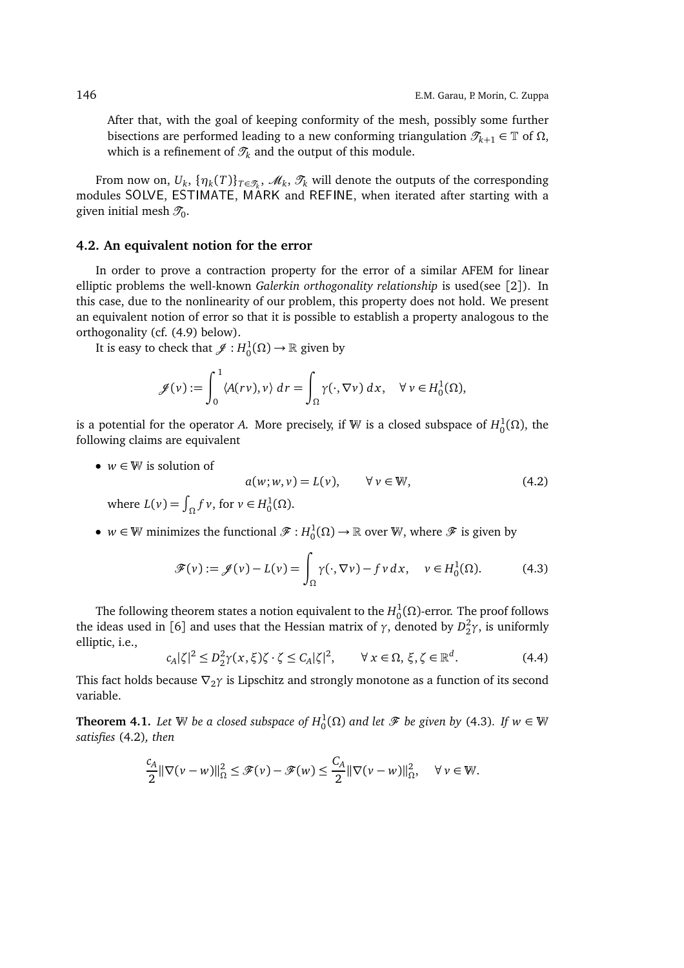After that, with the goal of keeping conformity of the mesh, possibly some further bisections are performed leading to a new conforming triangulation  $\mathcal{T}_{k+1} \in \mathbb{T}$  of  $\Omega$ , which is a refinement of  $\mathcal{T}_k$  and the output of this module.

From now on,  $U_k$ ,  $\{\eta_k(T)\}_{T\in\mathcal{T}_k}$ ,  $\mathscr{M}_k$ ,  $\mathcal{T}_k$  will denote the outputs of the corresponding modules SOLVE, ESTIMATE, MARK and REFINE, when iterated after starting with a given initial mesh  $\mathscr{T}_0.$ 

#### **4.2. An equivalent notion for the error**

In order to prove a contraction property for the error of a similar AFEM for linear elliptic problems the well-known *Galerkin orthogonality relationship* is used(see [2]). In this case, due to the nonlinearity of our problem, this property does not hold. We present an equivalent notion of error so that it is possible to establish a property analogous to the orthogonality (cf. (4.9) below).

It is easy to check that  $\mathscr{J} : H_0^1(\Omega) \to \mathbb{R}$  given by

$$
\mathscr{J}(v) := \int_0^1 \langle A(rv), v \rangle \, dr = \int_{\Omega} \gamma(\cdot, \nabla v) \, dx, \quad \forall \, v \in H_0^1(\Omega),
$$

is a potential for the operator *A*. More precisely, if  $\mathbb W$  is a closed subspace of  $H^1_0(\Omega)$ , the following claims are equivalent

•  $w \in \mathbb{W}$  is solution of

$$
a(w; w, v) = L(v), \qquad \forall v \in W,
$$
  
where  $L(v) = \int_{\Omega} f v$ , for  $v \in H_0^1(\Omega)$ . (4.2)

•  $w \in \mathbb{W}$  minimizes the functional  $\mathscr{F}: H_0^1(\Omega) \to \mathbb{R}$  over  $\mathbb{W}$ , where  $\mathscr{F}$  is given by

$$
\mathscr{F}(v) := \mathscr{J}(v) - L(v) = \int_{\Omega} \gamma(\cdot, \nabla v) - f v \, dx, \quad v \in H_0^1(\Omega). \tag{4.3}
$$

The following theorem states a notion equivalent to the  $H_0^1(Ω)$ -error. The proof follows the ideas used in [6] and uses that the Hessian matrix of *γ*, denoted by  $D_2^2\gamma$ , is uniformly elliptic, i.e.,

$$
c_A|\zeta|^2 \le D_2^2 \gamma(x,\xi)\zeta \cdot \zeta \le C_A|\zeta|^2, \qquad \forall \, x \in \Omega, \, \xi, \zeta \in \mathbb{R}^d. \tag{4.4}
$$

This fact holds because  $\nabla_2 \gamma$  is Lipschitz and strongly monotone as a function of its second variable.

**Theorem 4.1.** Let  $\mathbb W$  be a closed subspace of  $H_0^1(\Omega)$  and let  $\mathscr F$  be given by (4.3). If  $w \in \mathbb W$ *satisfies* (4.2)*, then*

$$
\frac{c_A}{2} \|\nabla (\nu - w)\|_{\Omega}^2 \le \mathcal{F}(\nu) - \mathcal{F}(w) \le \frac{C_A}{2} \|\nabla (\nu - w)\|_{\Omega}^2, \quad \forall \nu \in \mathbb{W}.
$$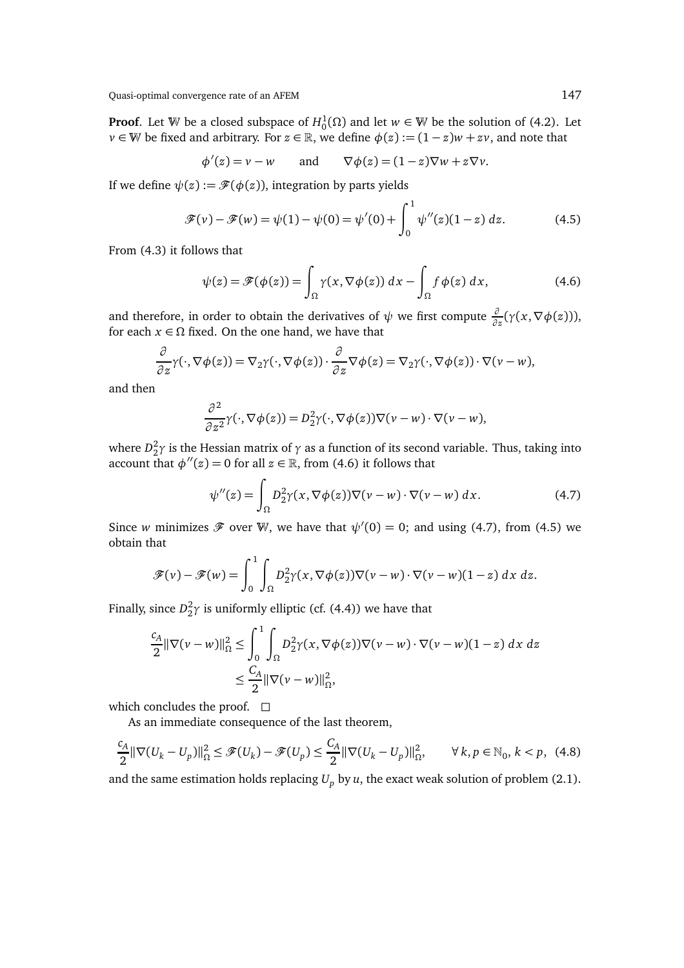**Proof**. Let W be a closed subspace of  $H_0^1(\Omega)$  and let  $w \in \mathbb{W}$  be the solution of (4.2). Let *v* ∈ W be fixed and arbitrary. For  $z \in \mathbb{R}$ , we define  $\phi(z) := (1 - z)w + zv$ , and note that

$$
\phi'(z) = v - w
$$
 and  $\nabla \phi(z) = (1 - z)\nabla w + z\nabla v$ .

If we define  $\psi(z) := \mathscr{F}(\phi(z))$ , integration by parts yields

$$
\mathcal{F}(v) - \mathcal{F}(w) = \psi(1) - \psi(0) = \psi'(0) + \int_0^1 \psi''(z)(1-z) dz.
$$
 (4.5)

From (4.3) it follows that

$$
\psi(z) = \mathscr{F}(\phi(z)) = \int_{\Omega} \gamma(x, \nabla \phi(z)) dx - \int_{\Omega} f \phi(z) dx,
$$
\n(4.6)

and therefore, in order to obtain the derivatives of  $\psi$  we first compute  $\frac{\partial}{\partial z}(\gamma(x,\nabla\phi(z))),$ for each  $x \in \Omega$  fixed. On the one hand, we have that

$$
\frac{\partial}{\partial z}\gamma(\cdot,\nabla\phi(z)) = \nabla_2\gamma(\cdot,\nabla\phi(z))\cdot \frac{\partial}{\partial z}\nabla\phi(z) = \nabla_2\gamma(\cdot,\nabla\phi(z))\cdot\nabla(\nu - w),
$$

and then

$$
\frac{\partial^2}{\partial z^2} \gamma(\cdot, \nabla \phi(z)) = D_2^2 \gamma(\cdot, \nabla \phi(z)) \nabla (\nu - w) \cdot \nabla (\nu - w),
$$

where  $D_2^2 \gamma$  is the Hessian matrix of  $\gamma$  as a function of its second variable. Thus, taking into account that  $\phi''(z) = 0$  for all  $z \in \mathbb{R}$ , from (4.6) it follows that

$$
\psi''(z) = \int_{\Omega} D_2^2 \gamma(x, \nabla \phi(z)) \nabla (\nu - w) \cdot \nabla (\nu - w) \, dx. \tag{4.7}
$$

Since *w* minimizes  $\mathscr F$  over W, we have that  $\psi'(0) = 0$ ; and using (4.7), from (4.5) we obtain that

$$
\mathscr{F}(v) - \mathscr{F}(w) = \int_0^1 \int_{\Omega} D_2^2 \gamma(x, \nabla \phi(z)) \nabla (v - w) \cdot \nabla (v - w)(1 - z) \, dx \, dz.
$$

Finally, since  $D_2^2 \gamma$  is uniformly elliptic (cf. (4.4)) we have that

$$
\frac{c_A}{2} \|\nabla(v - w)\|_{\Omega}^2 \le \int_0^1 \int_{\Omega} D_2^2 \gamma(x, \nabla \phi(z)) \nabla(v - w) \cdot \nabla(v - w)(1 - z) dx dz
$$
  

$$
\le \frac{C_A}{2} \|\nabla(v - w)\|_{\Omega}^2,
$$

which concludes the proof.  $\square$ 

As an immediate consequence of the last theorem,

$$
\frac{c_A}{2} \|\nabla (U_k - U_p)\|_{\Omega}^2 \le \mathcal{F}(U_k) - \mathcal{F}(U_p) \le \frac{C_A}{2} \|\nabla (U_k - U_p)\|_{\Omega}^2, \qquad \forall k, p \in \mathbb{N}_0, k < p,\tag{4.8}
$$

and the same estimation holds replacing  $U_p$  by  $u$ , the exact weak solution of problem (2.1).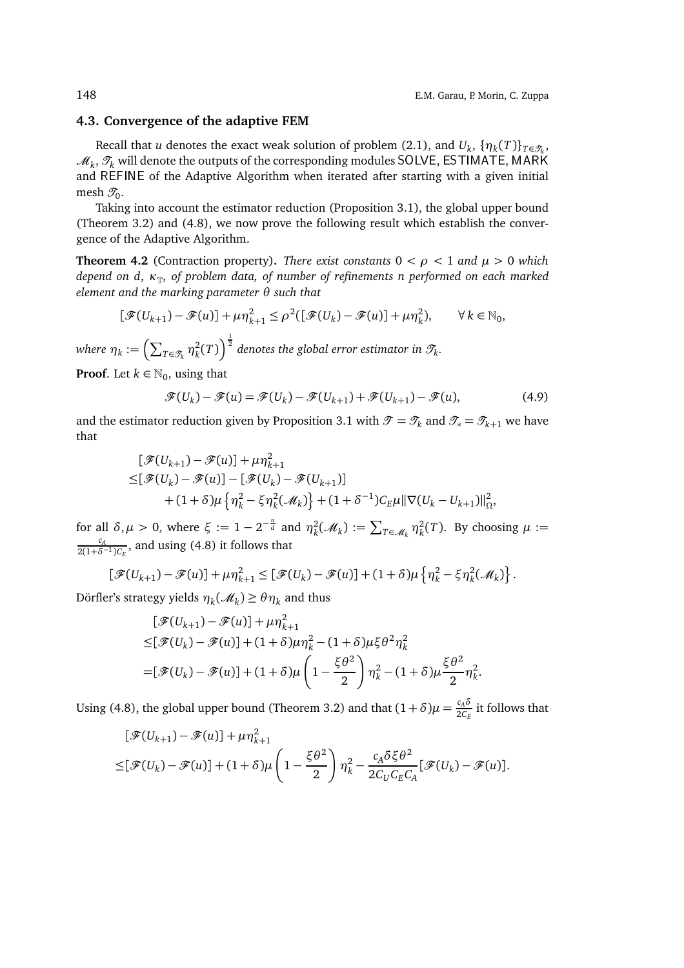### **4.3. Convergence of the adaptive FEM**

Recall that *u* denotes the exact weak solution of problem (2.1), and  $U_k$ ,  $\{\eta_k(T)\}_{T\in\mathscr{T}_k}$ ,  $\mathscr{M}_k, \mathscr{T}_k$  will denote the outputs of the corresponding modules <code>SOLVE</code>, <code>ESTIMATE</code>, <code>MARK</code> and REFINE of the Adaptive Algorithm when iterated after starting with a given initial mesh  $\mathscr{T}_0.$ 

Taking into account the estimator reduction (Proposition 3.1), the global upper bound (Theorem 3.2) and (4.8), we now prove the following result which establish the convergence of the Adaptive Algorithm.

**Theorem 4.2** (Contraction property). *There exist constants*  $0 < \rho < 1$  *and*  $\mu > 0$  *which depend on d, κ*<sub>T</sub>, *of problem data, of number of refinements n performed on each marked element and the marking parameter θ such that*

$$
[\mathcal{F}(U_{k+1}) - \mathcal{F}(u)] + \mu \eta_{k+1}^2 \le \rho^2([\mathcal{F}(U_k) - \mathcal{F}(u)] + \mu \eta_k^2), \qquad \forall \, k \in \mathbb{N}_0,
$$

 $\textit{where } \eta_k := \Bigl( \sum_{T \in \mathscr{T}_k} \eta_k^2$  $\left(\frac{2}{k}(T)\right)^{\frac{1}{2}}$  denotes the global error estimator in  $\mathscr{T}_{k}$ .

**Proof**. Let  $k \in \mathbb{N}_0$ , using that

$$
\mathcal{F}(U_k) - \mathcal{F}(u) = \mathcal{F}(U_k) - \mathcal{F}(U_{k+1}) + \mathcal{F}(U_{k+1}) - \mathcal{F}(u),
$$
\n(4.9)

and the estimator reduction given by Proposition 3.1 with  $\mathcal{T} = \mathcal{T}_k$  and  $\mathcal{T}_* = \mathcal{T}_{k+1}$  we have that

$$
\begin{aligned} [\mathcal{F}(U_{k+1}) - \mathcal{F}(u)] + \mu \eta_{k+1}^2 \\ \leq [\mathcal{F}(U_k) - \mathcal{F}(u)] - [\mathcal{F}(U_k) - \mathcal{F}(U_{k+1})] \\ &+ (1 + \delta)\mu \left\{ \eta_k^2 - \xi \eta_k^2(\mathcal{M}_k) \right\} + (1 + \delta^{-1})C_E\mu ||\nabla (U_k - U_{k+1})||_{\Omega}^2, \end{aligned}
$$

for all  $\delta, \mu > 0$ , where  $\xi := 1 - 2^{-\frac{n}{d}}$  and  $\eta_{\nu}^2$  $\mathcal{L}_k^2(\mathcal{M}_k) := \sum_{T \in \mathcal{M}_k} \eta_k^2$  $k<sup>2</sup>(T)$ . By choosing  $\mu :=$ *cA*  $\frac{c_A}{2(1+\delta^{-1})C_E}$ , and using (4.8) it follows that

$$
\left[\mathcal{F}(U_{k+1})-\mathcal{F}(u)\right]+\mu\eta_{k+1}^2\leq \left[\mathcal{F}(U_k)-\mathcal{F}(u)\right]+(1+\delta)\mu\left\{\eta_k^2-\xi\eta_k^2(\mathcal{M}_k)\right\}.
$$

Dörfler's strategy yields *η<sup>k</sup>* (M*<sup>k</sup>* ) ≥ *θη<sup>k</sup>* and thus

$$
\begin{aligned} &\left[\mathcal{F}(U_{k+1}) - \mathcal{F}(u)\right] + \mu \eta_{k+1}^2 \\ \leq & \left[\mathcal{F}(U_k) - \mathcal{F}(u)\right] + (1+\delta)\mu \eta_k^2 - (1+\delta)\mu \xi \theta^2 \eta_k^2 \\ =& \left[\mathcal{F}(U_k) - \mathcal{F}(u)\right] + (1+\delta)\mu \left(1 - \frac{\xi \theta^2}{2}\right) \eta_k^2 - (1+\delta)\mu \frac{\xi \theta^2}{2} \eta_k^2. \end{aligned}
$$

Using (4.8), the global upper bound (Theorem 3.2) and that  $(1+\delta)\mu = \frac{c_A\delta}{2C}$  $\frac{c_{A}^{2}}{2C_{E}}$  it follows that

$$
\begin{aligned} &\left[\mathcal{F}(U_{k+1})-\mathcal{F}(u)\right]+\mu\eta_{k+1}^2\\ \leq &\left[\mathcal{F}(U_k)-\mathcal{F}(u)\right]+(1+\delta)\mu\left(1-\frac{\xi\theta^2}{2}\right)\eta_k^2-\frac{c_A\delta\xi\theta^2}{2C_UC_EC_A}\big[\mathcal{F}(U_k)-\mathcal{F}(u)\big].\end{aligned}
$$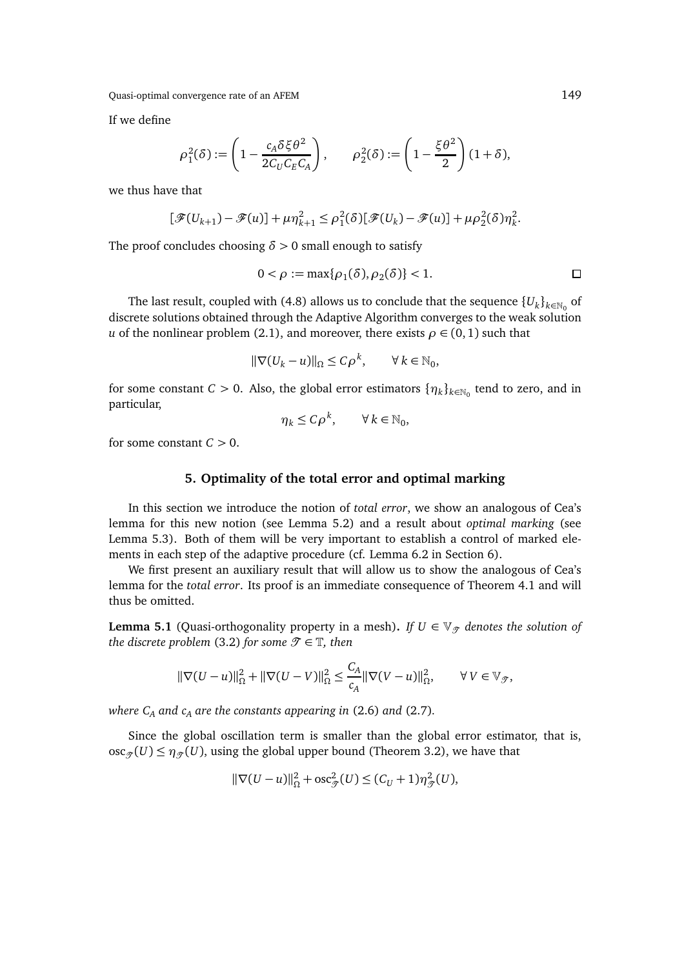If we define

$$
\rho_1^2(\delta) := \left(1 - \frac{c_A \delta \xi \theta^2}{2C_U C_E C_A}\right), \qquad \rho_2^2(\delta) := \left(1 - \frac{\xi \theta^2}{2}\right)(1 + \delta),
$$

we thus have that

$$
[\mathcal{F}(U_{k+1}) - \mathcal{F}(u)] + \mu \eta_{k+1}^2 \le \rho_1^2(\delta) [\mathcal{F}(U_k) - \mathcal{F}(u)] + \mu \rho_2^2(\delta) \eta_k^2.
$$

The proof concludes choosing  $\delta > 0$  small enough to satisfy

$$
0 < \rho := \max\{\rho_1(\delta), \rho_2(\delta)\} < 1. \tag{}
$$

The last result, coupled with (4.8) allows us to conclude that the sequence  $\{U_k\}_{k\in\mathbb{N}_0}$  of discrete solutions obtained through the Adaptive Algorithm converges to the weak solution *u* of the nonlinear problem (2.1), and moreover, there exists  $\rho \in (0,1)$  such that

$$
\|\nabla (U_k - u)\|_{\Omega} \le C\rho^k, \qquad \forall \, k \in \mathbb{N}_0,
$$

for some constant  $C > 0$ . Also, the global error estimators  $\{\eta_k\}_{k \in \mathbb{N}_0}$  tend to zero, and in particular,

$$
\eta_k \le C \rho^k, \qquad \forall \, k \in \mathbb{N}_0,
$$

for some constant  $C > 0$ .

### **5. Optimality of the total error and optimal marking**

In this section we introduce the notion of *total error*, we show an analogous of Cea's lemma for this new notion (see Lemma 5.2) and a result about *optimal marking* (see Lemma 5.3). Both of them will be very important to establish a control of marked elements in each step of the adaptive procedure (cf. Lemma 6.2 in Section 6).

We first present an auxiliary result that will allow us to show the analogous of Cea's lemma for the *total error*. Its proof is an immediate consequence of Theorem 4.1 and will thus be omitted.

**Lemma 5.1** (Quasi-orthogonality property in a mesh). If  $U \in V_{\mathcal{T}}$  denotes the solution of *the discrete problem* (3.2) *for some*  $\mathcal{T} \in \mathbb{T}$ *, then* 

$$
\|\nabla(U-u)\|_{\Omega}^2 + \|\nabla(U-V)\|_{\Omega}^2 \le \frac{C_A}{c_A} \|\nabla(V-u)\|_{\Omega}^2, \qquad \forall V \in \mathbb{V}_{\mathcal{T}},
$$

*where C<sup>A</sup> and c<sup>A</sup> are the constants appearing in* (2.6) *and* (2.7)*.*

Since the global oscillation term is smaller than the global error estimator, that is,  $\operatorname{osc}_{\mathcal{F}}(U) \leq \eta_{\mathcal{F}}(U)$ , using the global upper bound (Theorem 3.2), we have that

$$
\|\nabla(U-u)\|_{\Omega}^2 + \mathrm{osc}_{\mathcal{F}}^2(U) \le (C_U + 1)\eta_{\mathcal{F}}^2(U),
$$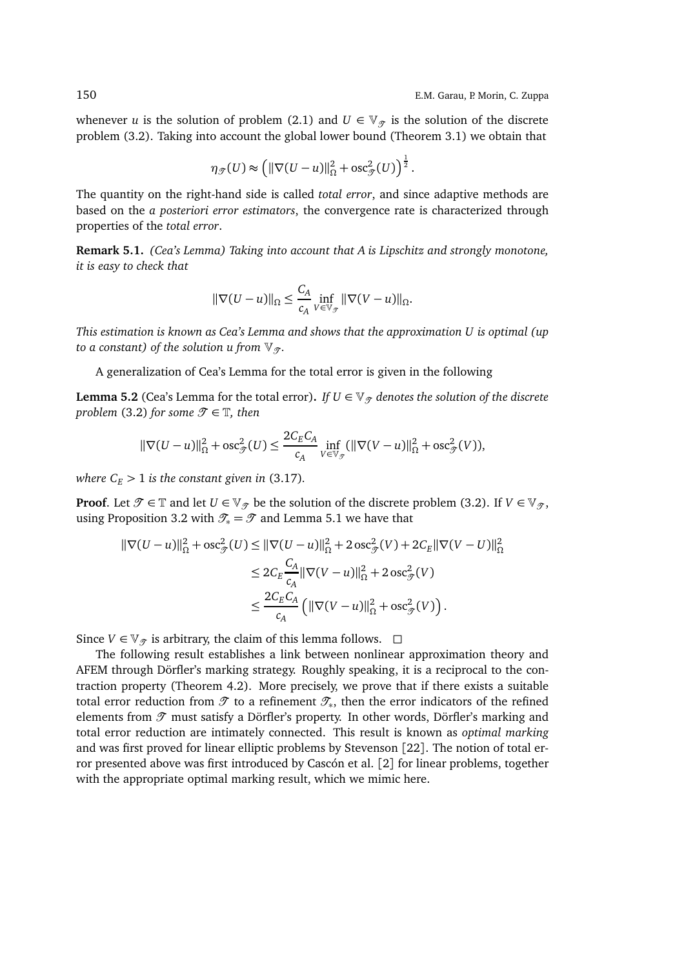whenever *u* is the solution of problem (2.1) and  $U \in V_{\mathcal{T}}$  is the solution of the discrete problem (3.2). Taking into account the global lower bound (Theorem 3.1) we obtain that

$$
\eta_{\mathcal{F}}(U) \approx \left( \|\nabla (U - u)\|_{\Omega}^2 + \mathrm{osc}_{\mathcal{F}}^2(U) \right)^{\frac{1}{2}}.
$$

The quantity on the right-hand side is called *total error*, and since adaptive methods are based on the *a posteriori error estimators*, the convergence rate is characterized through properties of the *total error*.

**Remark 5.1.** *(Cea's Lemma) Taking into account that A is Lipschitz and strongly monotone, it is easy to check that*

$$
\|\nabla(U-u)\|_{\Omega} \le \frac{C_A}{c_A} \inf_{V \in \mathbb{V}_{\mathcal{F}}} \|\nabla(V-u)\|_{\Omega}.
$$

*This estimation is known as Cea's Lemma and shows that the approximation U is optimal (up to a constant) of the solution u from*  $\mathbb{V}_{\mathcal{T}}$ .

A generalization of Cea's Lemma for the total error is given in the following

**Lemma 5.2** (Cea's Lemma for the total error). *If*  $U \in V_{\mathcal{T}}$  denotes the solution of the discrete *problem* (3.2) *for some*  $\mathcal{T} \in \mathbb{T}$ *, then* 

$$
\|\nabla(U-u)\|_{\Omega}^2 + \mathrm{osc}_{\mathcal{F}}^2(U) \le \frac{2C_E C_A}{c_A} \inf_{V \in \mathbb{V}_{\mathcal{F}}} (\|\nabla(V-u)\|_{\Omega}^2 + \mathrm{osc}_{\mathcal{F}}^2(V)),
$$

*where*  $C_E$  > 1 *is the constant given in* (3.17)*.* 

**Proof.** Let  $\mathcal{T} \in \mathbb{T}$  and let  $U \in \mathbb{V}_{\mathcal{T}}$  be the solution of the discrete problem (3.2). If  $V \in \mathbb{V}_{\mathcal{T}}$ , using Proposition 3.2 with  $\mathcal{T}_* = \mathcal{T}$  and Lemma 5.1 we have that

$$
\|\nabla (U - u)\|_{\Omega}^{2} + \operatorname{osc}_{\mathcal{J}}^{2}(U) \leq \|\nabla (U - u)\|_{\Omega}^{2} + 2 \operatorname{osc}_{\mathcal{J}}^{2}(V) + 2C_{E} \|\nabla (V - U)\|_{\Omega}^{2}
$$
  

$$
\leq 2C_{E} \frac{C_{A}}{c_{A}} \|\nabla (V - u)\|_{\Omega}^{2} + 2 \operatorname{osc}_{\mathcal{J}}^{2}(V)
$$
  

$$
\leq \frac{2C_{E} C_{A}}{c_{A}} \left( \|\nabla (V - u)\|_{\Omega}^{2} + \operatorname{osc}_{\mathcal{J}}^{2}(V) \right).
$$

Since *V* ∈  $\mathbb{V}_{\mathcal{T}}$  is arbitrary, the claim of this lemma follows.  $\Box$ 

The following result establishes a link between nonlinear approximation theory and AFEM through Dörfler's marking strategy. Roughly speaking, it is a reciprocal to the contraction property (Theorem 4.2). More precisely, we prove that if there exists a suitable total error reduction from  $\mathscr T$  to a refinement  $\mathscr T_\ast$ , then the error indicators of the refined elements from  $\mathcal T$  must satisfy a Dörfler's property. In other words, Dörfler's marking and total error reduction are intimately connected. This result is known as *optimal marking* and was first proved for linear elliptic problems by Stevenson [22]. The notion of total error presented above was first introduced by Cascón et al. [2] for linear problems, together with the appropriate optimal marking result, which we mimic here.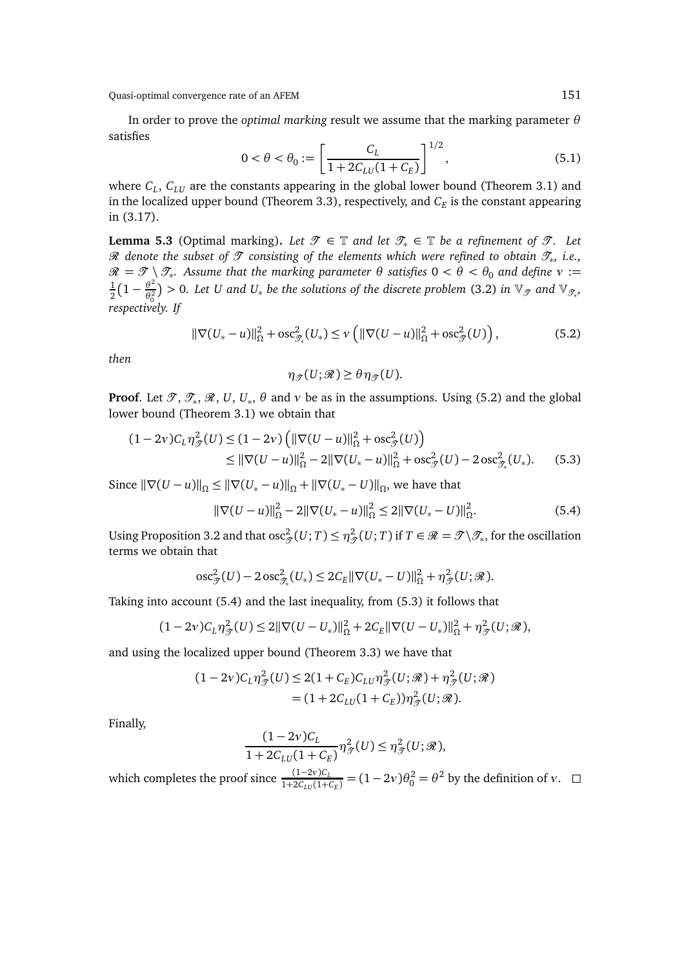In order to prove the *optimal marking* result we assume that the marking parameter *θ* satisfies

$$
0 < \theta < \theta_0 := \left[ \frac{C_L}{1 + 2C_{LU}(1 + C_E)} \right]^{1/2},\tag{5.1}
$$

where *C<sup>L</sup>* , *CLU* are the constants appearing in the global lower bound (Theorem 3.1) and in the localized upper bound (Theorem 3.3), respectively, and  $C_E$  is the constant appearing in (3.17).

**Lemma 5.3** (Optimal marking). Let  $\mathcal{T} \in \mathbb{T}$  and let  $\mathcal{T}_* \in \mathbb{T}$  be a refinement of  $\mathcal{T}$ . Let R *denote the subset of* T *consisting of the elements which were refined to obtain* T<sup>∗</sup> *, i.e.,*  $\mathscr{R}=\mathscr{T}\setminus\mathscr{T}_{*}.$  Assume that the marking parameter  $\theta$  satisfies  $0<\theta<\theta_0$  and define  $v:=$ 1  $\frac{1}{2}(1-\frac{\theta^2}{\theta_0^2})$  $\frac{\partial^2}{\partial_0^2}$  > 0. Let U and U<sub>\*</sub> be the solutions of the discrete problem (3.2) in  $\mathbb{V}_{\mathscr{T}}$  and  $\mathbb{V}_{\mathscr{T}_{*}}$ , *respectively. If*

$$
\|\nabla (U_* - u)\|_{\Omega}^2 + \mathrm{osc}_{\mathcal{F}_*}^2(U_*) \le \nu \left( \|\nabla (U - u)\|_{\Omega}^2 + \mathrm{osc}_{\mathcal{F}}^2(U) \right),\tag{5.2}
$$

*then*

$$
\eta_{\mathcal{F}}(U;\mathcal{R}) \geq \theta \eta_{\mathcal{F}}(U).
$$

**Proof.** Let  $\mathscr{T}, \mathscr{T}_*, \mathscr{R}, U, U_*, \theta$  and  $v$  be as in the assumptions. Using (5.2) and the global lower bound (Theorem 3.1) we obtain that

$$
(1 - 2v)C_L \eta_{\mathcal{F}}^2(U) \le (1 - 2v) \left( \|\nabla (U - u)\|_{\Omega}^2 + \operatorname{osc}_{\mathcal{F}}^2(U) \right)
$$
  
\$\leq \|\nabla (U - u)\|\_{\Omega}^2 - 2\|\nabla (U\_\* - u)\|\_{\Omega}^2 + \operatorname{osc}\_{\mathcal{F}}^2(U) - 2\operatorname{osc}\_{\mathcal{F}\_\*}^2(U\_\*).\$ (5.3)

Since  $\|\nabla(U - u)\|_{\Omega} \le \|\nabla(U_* - u)\|_{\Omega} + \|\nabla(U_* - U)\|_{\Omega}$ , we have that

$$
\|\nabla(U-u)\|_{\Omega}^2 - 2\|\nabla(U_*-u)\|_{\Omega}^2 \le 2\|\nabla(U_*-U)\|_{\Omega}^2.
$$
 (5.4)

Using Proposition 3.2 and that osc $^2_{\mathscr{T}}(U;T)\leq\eta^2_{\mathscr{T}}(U;T)$  if  $T\in\mathscr{R}=\mathscr{T}\backslash\mathscr{T}_*$ , for the oscillation terms we obtain that

$$
\mathrm{osc}_{\mathscr{T}}^2(U) - 2 \, \mathrm{osc}_{\mathscr{T}_*}^2(U_*) \leq 2C_E ||\nabla (U_* - U)||_{\Omega}^2 + \eta_{\mathscr{T}}^2(U; \mathscr{R}).
$$

Taking into account (5.4) and the last inequality, from (5.3) it follows that

$$
(1-2v)C_L\eta_{\mathcal{J}}^2(U) \leq 2\|\nabla(U-U_*)\|_{\Omega}^2 + 2C_E\|\nabla(U-U_*)\|_{\Omega}^2 + \eta_{\mathcal{J}}^2(U;\mathcal{R}),
$$

and using the localized upper bound (Theorem 3.3) we have that

$$
(1-2v)C_L \eta_{\mathcal{F}}^2(U) \le 2(1+C_E)C_{LU} \eta_{\mathcal{F}}^2(U;\mathcal{R}) + \eta_{\mathcal{F}}^2(U;\mathcal{R})
$$
  
=  $(1+2C_{LU}(1+C_E))\eta_{\mathcal{F}}^2(U;\mathcal{R}).$ 

Finally,

$$
\frac{(1-2\nu)C_L}{1+2C_{LU}(1+C_E)}\eta_{\mathcal{F}}^2(U) \leq \eta_{\mathcal{F}}^2(U;\mathcal{R}),
$$

which completes the proof since  $\frac{(1-2\nu)C_L}{1+2C_{LU}(1+C_E)}$  =  $(1-2\nu)\theta_0^2 = \theta^2$  by the definition of *ν*. □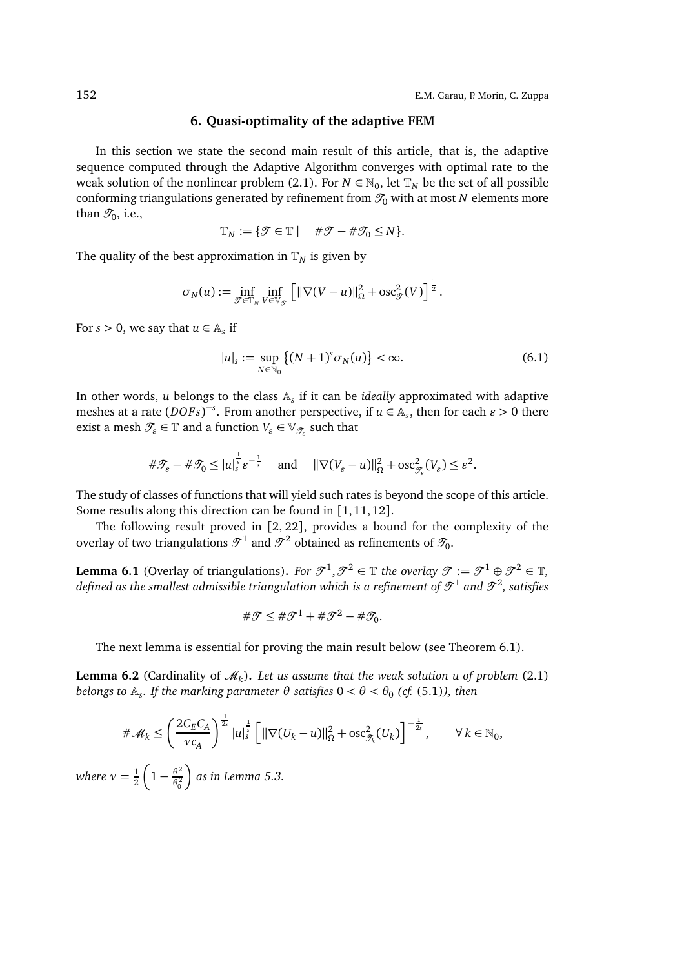## **6. Quasi-optimality of the adaptive FEM**

In this section we state the second main result of this article, that is, the adaptive sequence computed through the Adaptive Algorithm converges with optimal rate to the weak solution of the nonlinear problem (2.1). For  $N \in \mathbb{N}_0$ , let  $\mathbb{T}_N$  be the set of all possible conforming triangulations generated by refinement from  $\mathcal{I}_0$  with at most *N* elements more than  $\mathscr{T}_0$ , i.e.,

$$
\mathbb{T}_N := \{ \mathcal{T} \in \mathbb{T} \mid \quad \# \mathcal{T} - \# \mathcal{T}_0 \leq N \}.
$$

The quality of the best approximation in  $\mathbb{T}_N$  is given by

$$
\sigma_N(u) := \inf_{\mathcal{T} \in \mathbb{T}_N} \inf_{V \in \mathbb{V}_{\mathcal{T}}} \left[ \|\nabla(V - u)\|_{\Omega}^2 + \mathrm{osc}_{\mathcal{T}}^2(V) \right]^{\frac{1}{2}}.
$$

For  $s > 0$ , we say that  $u \in A_s$  if

$$
|u|_{s} := \sup_{N \in \mathbb{N}_{0}} \left\{ (N+1)^{s} \sigma_{N}(u) \right\} < \infty.
$$
 (6.1)

In other words, *u* belongs to the class A*<sup>s</sup>* if it can be *ideally* approximated with adaptive meshes at a rate  $(DOFs)^{-s}$ . From another perspective, if  $u \in A_s$ , then for each  $\varepsilon > 0$  there exist a mesh  $\mathscr{T}_\varepsilon \in \mathbb{T}$  and a function  $V_\varepsilon \in \mathbb{V}_{\mathscr{T}_\varepsilon}$  such that

$$
\#\mathcal{T}_{\varepsilon}-\#\mathcal{T}_{0}\leq |u|_{s}^{\frac{1}{s}}\varepsilon^{-\frac{1}{s}}\quad\text{ and }\quad \|\nabla(V_{\varepsilon}-u)\|_{\Omega}^{2}+\operatorname{osc}_{\mathcal{T}_{\varepsilon}}^{2}(V_{\varepsilon})\leq \varepsilon^{2}.
$$

The study of classes of functions that will yield such rates is beyond the scope of this article. Some results along this direction can be found in [1, 11, 12].

The following result proved in [2, 22], provides a bound for the complexity of the overlay of two triangulations  $\mathcal{T}^1$  and  $\mathcal{T}^2$  obtained as refinements of  $\mathcal{T}_0.$ 

**Lemma 6.1** (Overlay of triangulations). For  $\mathcal{T}^1, \mathcal{T}^2 \in \mathbb{T}$  the overlay  $\mathcal{T} := \mathcal{T}^1 \oplus \mathcal{T}^2 \in \mathbb{T}$ , defined as the smallest admissible triangulation which is a refinement of  $\mathcal{T}^1$  and  $\mathcal{T}^2$ , satisfies

$$
\#\mathcal{T}\leq \#\mathcal{T}^1+\#\mathcal{T}^2-\#\mathcal{T}_0.
$$

The next lemma is essential for proving the main result below (see Theorem 6.1).

**Lemma 6.2** (Cardinality of  $\mathcal{M}_k$ ). Let us assume that the weak solution u of problem (2.1)  $b$ elongs to  $\mathbb{A}_s$ . If the marking parameter  $\theta$  satisfies  $0 < \theta < \theta_0$  (cf. (5.1)), then

$$
\#\mathcal{M}_k \le \left(\frac{2C_E C_A}{v c_A}\right)^{\frac{1}{2s}} |u|_s^{\frac{1}{s}} \left[ \|\nabla (U_k - u)\|_{\Omega}^2 + \operatorname{osc}_{\mathcal{I}_k}^2(U_k) \right]^{-\frac{1}{2s}}, \qquad \forall \, k \in \mathbb{N}_0,
$$

*where*  $v = \frac{1}{2}$ 2  $\left(1-\frac{\theta^2}{\theta^2}\right)$  $\theta_0^2$ *as in Lemma 5.3.*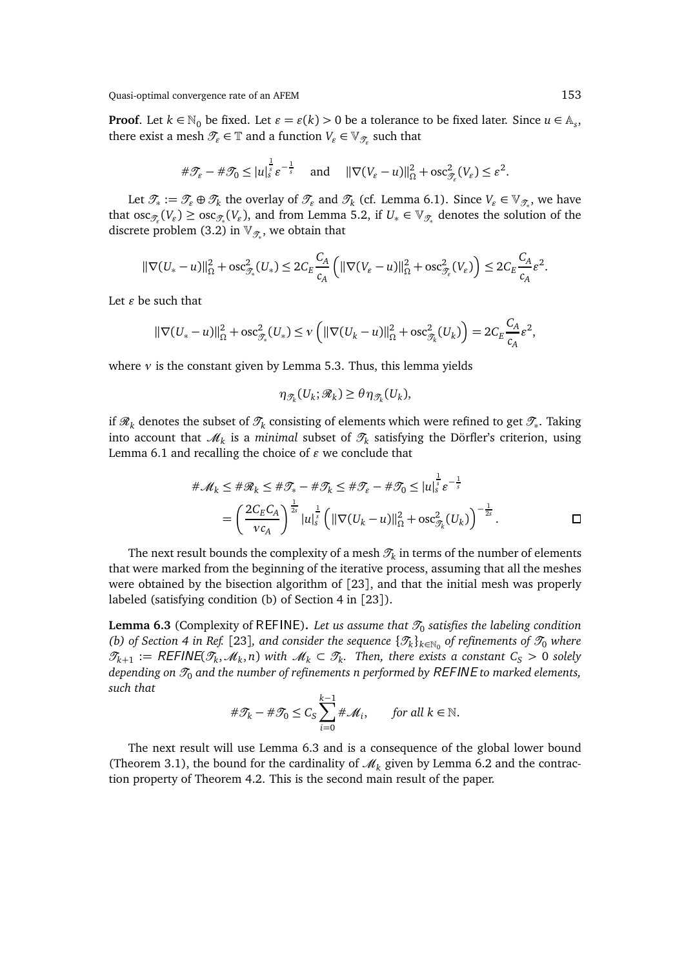**Proof**. Let  $k \in \mathbb{N}_0$  be fixed. Let  $\varepsilon = \varepsilon(k) > 0$  be a tolerance to be fixed later. Since  $u \in \mathbb{A}_s$ , there exist a mesh  $\mathscr{T}_\varepsilon \in \mathbb{T}$  and a function  $V_\varepsilon \in \mathbb{V}_{\mathscr{T}_\varepsilon}$  such that

$$
\#\mathcal{T}_{\varepsilon}-\#\mathcal{T}_0\leq |u|_s^{\frac{1}{s}}\varepsilon^{-\frac{1}{s}} \quad \text{and} \quad \|\nabla(V_{\varepsilon}-u)\|_{\Omega}^2+\operatorname{osc}_{\mathcal{T}_{\varepsilon}}^2(V_{\varepsilon})\leq \varepsilon^2.
$$

Let  $\mathcal{T}_* := \mathcal{T}_\varepsilon \oplus \mathcal{T}_k$  the overlay of  $\mathcal{T}_\varepsilon$  and  $\mathcal{T}_k$  (cf. Lemma 6.1). Since  $V_\varepsilon \in \mathbb{V}_{\mathcal{T}_*}$ , we have that  $\operatorname{osc}_{\mathcal{T}_\varepsilon}(V_\varepsilon) \geq \operatorname{osc}_{\mathcal{T}_*}(V_\varepsilon)$ , and from Lemma 5.2, if  $U_* \in \mathbb{V}_{\mathcal{T}_*}$  denotes the solution of the discrete problem (3.2) in  $\mathbb{V}_{\mathscr{T}_*}$ , we obtain that

$$
\|\nabla (U_*-u)\|_{\Omega}^2 + \mathrm{osc}_{\mathscr{T}_*}^2(U_*) \leq 2C_E \frac{C_A}{c_A} \left( \|\nabla (V_{\varepsilon}-u)\|_{\Omega}^2 + \mathrm{osc}_{\mathscr{T}_\varepsilon}^2(V_{\varepsilon}) \right) \leq 2C_E \frac{C_A}{c_A} \varepsilon^2.
$$

Let *ǫ* be such that

$$
\|\nabla (U_*-u)\|_{\Omega}^2 + \mathrm{osc}_{\mathcal{F}_*}^2(U_*) \leq \nu \left( \|\nabla (U_k-u)\|_{\Omega}^2 + \mathrm{osc}_{\mathcal{F}_k}^2(U_k) \right) = 2C_E \frac{C_A}{c_A} \varepsilon^2,
$$

where *ν* is the constant given by Lemma 5.3. Thus, this lemma yields

$$
\eta_{\mathcal{T}_k}(U_k; \mathcal{R}_k) \geq \theta \eta_{\mathcal{T}_k}(U_k),
$$

if  $\mathscr{R}_k$  denotes the subset of  $\mathscr{T}_k$  consisting of elements which were refined to get  $\mathscr{T}_*$ . Taking into account that  $\mathscr{M}_k$  is a *minimal* subset of  $\mathscr{T}_k$  satisfying the Dörfler's criterion, using Lemma 6.1 and recalling the choice of  $\varepsilon$  we conclude that

$$
\# \mathcal{M}_k \leq \# \mathcal{R}_k \leq \# \mathcal{T}_* - \# \mathcal{T}_k \leq \# \mathcal{T}_\varepsilon - \# \mathcal{T}_0 \leq |u|_s^{\frac{1}{s}} \varepsilon^{-\frac{1}{s}}
$$
  
= 
$$
\left(\frac{2C_E C_A}{v c_A}\right)^{\frac{1}{2s}} |u|_s^{\frac{1}{s}} \left(||\nabla (U_k - u)||_{\Omega}^2 + \text{osc}_{\mathcal{T}_k}^2 (U_k)\right)^{-\frac{1}{2s}}.
$$

The next result bounds the complexity of a mesh  $\mathscr{T}_k$  in terms of the number of elements that were marked from the beginning of the iterative process, assuming that all the meshes were obtained by the bisection algorithm of [23], and that the initial mesh was properly labeled (satisfying condition (b) of Section 4 in [23]).

**Lemma 6.3** (Complexity of <code>REFINE</code>). *Let us assume that*  $\mathscr{T}_0$  *satisfies the labeling condition (b) of Section 4 in Ref.* [23], and consider the sequence  $\{\mathcal{T}_k\}_{k\in\mathbb{N}_0}$  of refinements of  $\mathcal{T}_0$  where  $\mathscr{T}_{k+1} := \mathsf{REFINE}(\mathscr{T}_k, \mathscr{M}_k, n)$  with  $\mathscr{M}_k \subset \mathscr{T}_k$ . Then, there exists a constant  $C_S > 0$  solely *depending on*  $\mathcal{T}_0$  *and the number of refinements n performed by REFINE to marked elements, such that*

$$
\#\mathcal{T}_k - \#\mathcal{T}_0 \le C_S \sum_{i=0}^{k-1} \#\mathcal{M}_i, \qquad \text{for all } k \in \mathbb{N}.
$$

The next result will use Lemma 6.3 and is a consequence of the global lower bound (Theorem 3.1), the bound for the cardinality of  $\mathcal{M}_k$  given by Lemma 6.2 and the contraction property of Theorem 4.2. This is the second main result of the paper.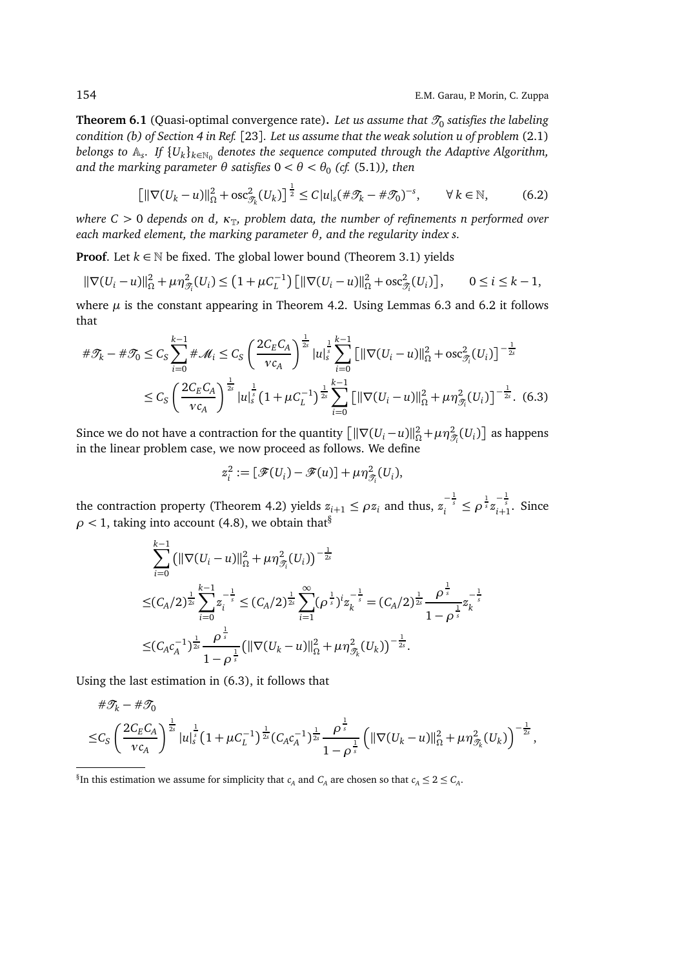**Theorem 6.1** (Quasi-optimal convergence rate). *Let us assume that*  $\mathscr{T}_0$  *satisfies the labeling condition (b) of Section 4 in Ref.* [23]*. Let us assume that the weak solution u of problem* (2.1)  $b$ elongs to  $\mathbb{A}_s$ . If  $\{U_k\}_{k\in\mathbb{N}_0}$  denotes the sequence computed through the Adaptive Algorithm,  $% \sigma$  and the marking parameter  $\theta$  satisfies 0 <  $\theta$  <  $\theta_0$  (cf. (5.1)), then

$$
\left[\|\nabla(U_k - u)\|_{\Omega}^2 + \mathrm{osc}_{\mathcal{I}_k}^2(U_k)\right]^{\frac{1}{2}} \le C|u|_s(\#\mathcal{I}_k - \#\mathcal{I}_0)^{-s}, \qquad \forall \, k \in \mathbb{N},\tag{6.2}
$$

*where C* > 0 *depends on d,*  $\kappa_{\mathbb{T}}$ *, problem data, the number of refinements n performed over each marked element, the marking parameter θ, and the regularity index s.*

**Proof.** Let  $k \in \mathbb{N}$  be fixed. The global lower bound (Theorem 3.1) yields

$$
\|\nabla (U_i - u)\|_{\Omega}^2 + \mu \eta_{\mathcal{T}_i}^2(U_i) \le (1 + \mu C_L^{-1}) \left[ \|\nabla (U_i - u)\|_{\Omega}^2 + \text{osc}_{\mathcal{T}_i}^2(U_i) \right], \qquad 0 \le i \le k - 1,
$$

where  $\mu$  is the constant appearing in Theorem 4.2. Using Lemmas 6.3 and 6.2 it follows that

$$
\#\mathcal{T}_{k} - \#\mathcal{T}_{0} \leq C_{S} \sum_{i=0}^{k-1} \#\mathcal{M}_{i} \leq C_{S} \left(\frac{2C_{E}C_{A}}{v c_{A}}\right)^{\frac{1}{2s}} |u|_{s}^{\frac{1}{s}} \sum_{i=0}^{k-1} \left[ \|\nabla (U_{i} - u)\|_{\Omega}^{2} + \text{osc}_{\mathcal{T}_{i}}^{2}(U_{i}) \right]^{-\frac{1}{2s}} \n\leq C_{S} \left(\frac{2C_{E}C_{A}}{v c_{A}}\right)^{\frac{1}{2s}} |u|_{s}^{\frac{1}{s}} \left(1 + \mu C_{L}^{-1}\right)^{\frac{1}{2s}} \sum_{i=0}^{k-1} \left[ \|\nabla (U_{i} - u)\|_{\Omega}^{2} + \mu \eta_{\mathcal{T}_{i}}^{2}(U_{i}) \right]^{-\frac{1}{2s}}. (6.3)
$$

Since we do not have a contraction for the quantity  $\left[ \|\nabla (U_i - u)\|_{\Omega}^2 + \mu \eta_{\mathcal{T}_i}^2(U_i) \right]$  as happens in the linear problem case, we now proceed as follows. We define

$$
z_i^2 := [\mathscr{F}(U_i) - \mathscr{F}(u)] + \mu \eta_{\mathscr{T}_i}^2(U_i),
$$

the contraction property (Theorem 4.2) yields  $z_{i+1} \le \rho z_i$  and thus,  $z_i^{-\frac{1}{s}} \le \rho^{\frac{1}{s}} z_{i+1}^{-\frac{1}{s}}$ . Since  $\rho$  < 1, taking into account (4.8), we obtain that<sup>§</sup>

$$
\sum_{i=0}^{k-1} \left( \|\nabla (U_i - u)\|_{\Omega}^2 + \mu \eta_{\mathcal{T}_i}^2 (U_i) \right)^{-\frac{1}{2s}} \n\leq (C_A/2)^{\frac{1}{2s}} \sum_{i=0}^{k-1} z_i^{-\frac{1}{s}} \leq (C_A/2)^{\frac{1}{2s}} \sum_{i=1}^{\infty} (\rho^{\frac{1}{s}})^i z_k^{-\frac{1}{s}} = (C_A/2)^{\frac{1}{2s}} \frac{\rho^{\frac{1}{s}}}{1 - \rho^{\frac{1}{s}}} z_k^{-\frac{1}{s}} \n\leq (C_A c_A^{-1})^{\frac{1}{2s}} \frac{\rho^{\frac{1}{s}}}{1 - \rho^{\frac{1}{s}}} \left( \|\nabla (U_k - u)\|_{\Omega}^2 + \mu \eta_{\mathcal{T}_k}^2 (U_k) \right)^{-\frac{1}{2s}}.
$$

Using the last estimation in (6.3), it follows that

$$
\#\mathcal{T}_{k} - \#\mathcal{T}_{0}
$$
\n
$$
\leq C_{S} \left( \frac{2 C_{E} C_{A}}{\nu c_{A}} \right)^{\frac{1}{2s}} |u|_{s}^{\frac{1}{s}} \left( 1 + \mu C_{L}^{-1} \right)^{\frac{1}{2s}} \left( C_{A} c_{A}^{-1} \right)^{\frac{1}{2s}} \frac{\rho^{\frac{1}{s}}}{1 - \rho^{\frac{1}{s}}} \left( \|\nabla (U_{k} - u) \|_{\Omega}^{2} + \mu \eta_{\mathcal{T}_{k}}^{2} (U_{k}) \right)^{-\frac{1}{2s}},
$$

 ${}^{\S}$ In this estimation we assume for simplicity that  $c_A$  and  $C_A$  are chosen so that  $c_A \leq 2 \leq C_A$ .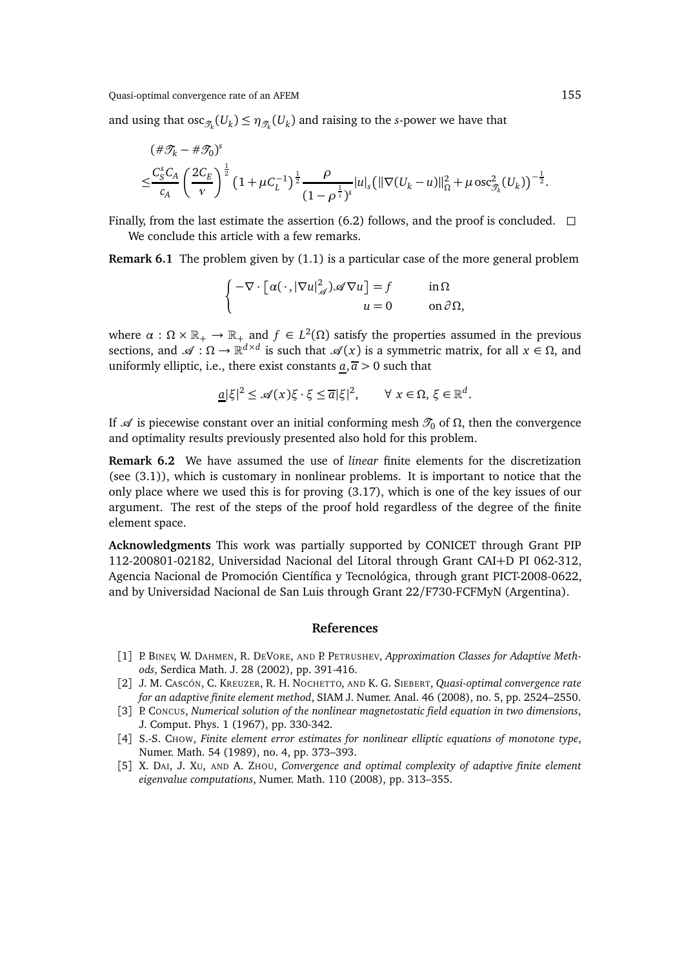and using that  $\mathrm{osc}_{\mathscr{T}_k}(U_k) \leq \eta_{\mathscr{T}_k}(U_k)$  and raising to the *s*-power we have that

$$
\begin{split} &(\#\mathcal{I}_k - \#\mathcal{I}_0)^s \\ &\leq \frac{C_S^s C_A}{c_A} \left(\frac{2C_E}{v}\right)^{\frac{1}{2}} \left(1 + \mu C_L^{-1}\right)^{\frac{1}{2}} \frac{\rho}{(1 - \rho^{\frac{1}{s}})^s} |u|_s \left(\|\nabla (U_k - u)\|_{\Omega}^2 + \mu \csc^2_{\mathcal{I}_k}(U_k)\right)^{-\frac{1}{2}}. \end{split}
$$

Finally, from the last estimate the assertion (6.2) follows, and the proof is concluded.  $\Box$ We conclude this article with a few remarks.

**Remark 6.1** The problem given by (1.1) is a particular case of the more general problem

$$
\begin{cases}\n-\nabla \cdot \left[\alpha(\cdot, |\nabla u|_{\mathcal{A}}^2) \mathcal{A} \nabla u\right] = f & \text{in } \Omega \\
u = 0 & \text{on } \partial \Omega,\n\end{cases}
$$

where  $\alpha$  :  $\Omega \times \mathbb{R}_+ \to \mathbb{R}_+$  and  $f \in L^2(\Omega)$  satisfy the properties assumed in the previous sections, and  $\mathscr{A}: \Omega \to \mathbb{R}^{d \times d}$  is such that  $\mathscr{A}(x)$  is a symmetric matrix, for all  $x \in \Omega$ , and uniformly elliptic, i.e., there exist constants  $\underline{a}, \overline{a} > 0$  such that

$$
\underline{a}|\xi|^2 \leq \mathcal{A}(x)\xi \cdot \xi \leq \overline{a}|\xi|^2, \qquad \forall \ x \in \Omega, \ \xi \in \mathbb{R}^d.
$$

If  $\mathcal A$  is piecewise constant over an initial conforming mesh  $\mathcal T_0$  of  $\Omega$ , then the convergence and optimality results previously presented also hold for this problem.

**Remark 6.2** We have assumed the use of *linear* finite elements for the discretization (see (3.1)), which is customary in nonlinear problems. It is important to notice that the only place where we used this is for proving (3.17), which is one of the key issues of our argument. The rest of the steps of the proof hold regardless of the degree of the finite element space.

**Acknowledgments** This work was partially supported by CONICET through Grant PIP 112-200801-02182, Universidad Nacional del Litoral through Grant CAI+D PI 062-312, Agencia Nacional de Promoción Científica y Tecnológica, through grant PICT-2008-0622, and by Universidad Nacional de San Luis through Grant 22/F730-FCFMyN (Argentina).

## **References**

- [1] P. BINEV, W. DAHMEN, R. DEVORE, AND P. PETRUSHEV, *Approximation Classes for Adaptive Methods*, Serdica Math. J. 28 (2002), pp. 391-416.
- [2] J. M. CASCÓN, C. KREUZER, R. H. NOCHETTO, AND K. G. SIEBERT, *Quasi-optimal convergence rate for an adaptive finite element method*, SIAM J. Numer. Anal. 46 (2008), no. 5, pp. 2524–2550.
- [3] P. CONCUS, *Numerical solution of the nonlinear magnetostatic field equation in two dimensions*, J. Comput. Phys. 1 (1967), pp. 330-342.
- [4] S.-S. CHOW, *Finite element error estimates for nonlinear elliptic equations of monotone type*, Numer. Math. 54 (1989), no. 4, pp. 373–393.
- [5] X. DAI, J. XU, AND A. ZHOU, *Convergence and optimal complexity of adaptive finite element eigenvalue computations*, Numer. Math. 110 (2008), pp. 313–355.